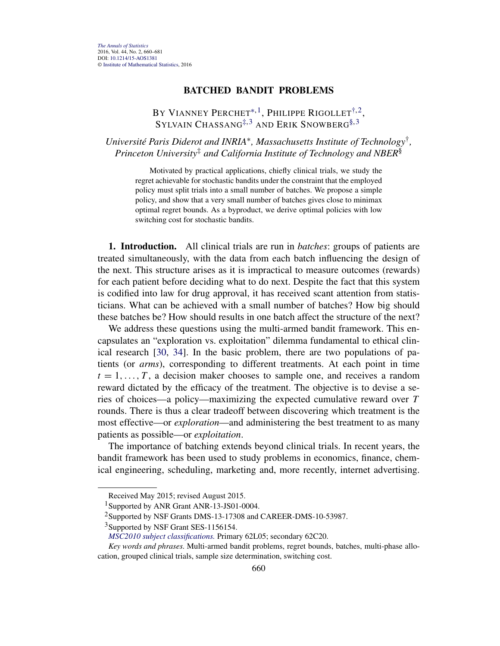# **BATCHED BANDIT PROBLEMS**

# BY VIANNEY PERCHET<sup>\*, 1</sup>, PHILIPPE RIGOLLET<sup>†, 2</sup>, SYLVAIN CHASSANG<sup>‡, 3</sup> AND ERIK SNOWBERG<sup>§, 3</sup>

*Université Paris Diderot and INRIA*∗*, Massachusetts Institute of Technology*†*, Princeton University*‡ *and California Institute of Technology and NBER*§

Motivated by practical applications, chiefly clinical trials, we study the regret achievable for stochastic bandits under the constraint that the employed policy must split trials into a small number of batches. We propose a simple policy, and show that a very small number of batches gives close to minimax optimal regret bounds. As a byproduct, we derive optimal policies with low switching cost for stochastic bandits.

**1. Introduction.** All clinical trials are run in *batches*: groups of patients are treated simultaneously, with the data from each batch influencing the design of the next. This structure arises as it is impractical to measure outcomes (rewards) for each patient before deciding what to do next. Despite the fact that this system is codified into law for drug approval, it has received scant attention from statisticians. What can be achieved with a small number of batches? How big should these batches be? How should results in one batch affect the structure of the next?

We address these questions using the multi-armed bandit framework. This encapsulates an "exploration vs. exploitation" dilemma fundamental to ethical clinical research [30, 34]. In the basic problem, there are two populations of patients (or *arms*), corresponding to different treatments. At each point in time  $t = 1, \ldots, T$ , a decision maker chooses to sample one, and receives a random reward dictated by the efficacy of the treatment. The objective is to devise a series of choices—a policy—maximizing the expected cumulative reward over *T* rounds. There is thus a clear tradeoff between discovering which treatment is the most effective—or *exploration*—and administering the best treatment to as many patients as possible—or *exploitation*.

The importance of batching extends beyond clinical trials. In recent years, the bandit framework has been used to study problems in economics, finance, chemical engineering, scheduling, marketing and, more recently, internet advertising.

Received May 2015; revised August 2015.

<sup>&</sup>lt;sup>1</sup>Supported by ANR Grant ANR-13-JS01-0004.

<sup>&</sup>lt;sup>2</sup>Supported by NSF Grants DMS-13-17308 and CAREER-DMS-10-53987.

<sup>&</sup>lt;sup>3</sup>Supported by NSF Grant SES-1156154.

*MSC2010 subject classifications.* Primary 62L05; secondary 62C20.

*Key words and phrases.* Multi-armed bandit problems, regret bounds, batches, multi-phase allocation, grouped clinical trials, sample size determination, switching cost.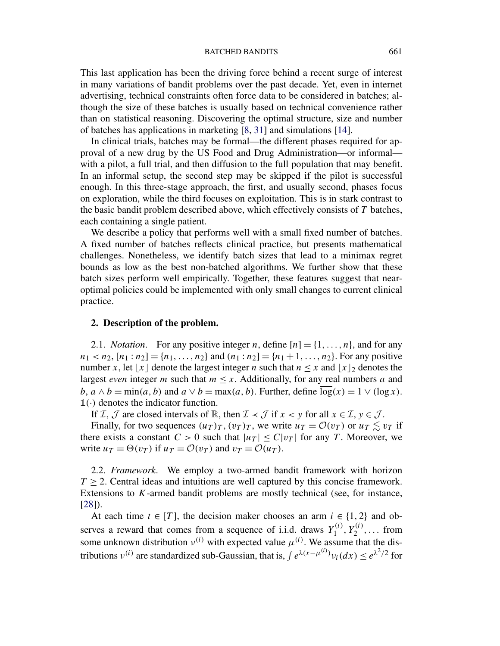#### BATCHED BANDITS 661

This last application has been the driving force behind a recent surge of interest in many variations of bandit problems over the past decade. Yet, even in internet advertising, technical constraints often force data to be considered in batches; although the size of these batches is usually based on technical convenience rather than on statistical reasoning. Discovering the optimal structure, size and number of batches has applications in marketing [8, 31] and simulations [14].

In clinical trials, batches may be formal—the different phases required for approval of a new drug by the US Food and Drug Administration—or informal with a pilot, a full trial, and then diffusion to the full population that may benefit. In an informal setup, the second step may be skipped if the pilot is successful enough. In this three-stage approach, the first, and usually second, phases focus on exploration, while the third focuses on exploitation. This is in stark contrast to the basic bandit problem described above, which effectively consists of *T* batches, each containing a single patient.

We describe a policy that performs well with a small fixed number of batches. A fixed number of batches reflects clinical practice, but presents mathematical challenges. Nonetheless, we identify batch sizes that lead to a minimax regret bounds as low as the best non-batched algorithms. We further show that these batch sizes perform well empirically. Together, these features suggest that nearoptimal policies could be implemented with only small changes to current clinical practice.

### **2. Description of the problem.**

2.1. *Notation.* For any positive integer *n*, define  $[n] = \{1, \ldots, n\}$ , and for any  $n_1 < n_2$ ,  $[n_1 : n_2] = \{n_1, \ldots, n_2\}$  and  $(n_1 : n_2] = \{n_1 + 1, \ldots, n_2\}$ . For any positive number *x*, let |*x* | denote the largest integer *n* such that  $n \leq x$  and  $|x|_2$  denotes the largest *even* integer *m* such that  $m \leq x$ . Additionally, for any real numbers *a* and *b*,  $a \wedge b = \min(a, b)$  and  $a \vee b = \max(a, b)$ . Further, define  $\log(x) = 1 \vee (\log x)$ . **1***(*·*)* denotes the indicator function.

If *I*, *J* are closed intervals of R, then  $\mathcal{I} \prec \mathcal{J}$  if  $x < y$  for all  $x \in \mathcal{I}, y \in \mathcal{J}$ .

Finally, for two sequences  $(u_T)_T$ ,  $(v_T)_T$ , we write  $u_T = \mathcal{O}(v_T)$  or  $u_T \leq v_T$  if there exists a constant  $C > 0$  such that  $|u_T| \le C |v_T|$  for any *T*. Moreover, we write  $u_T = \Theta(v_T)$  if  $u_T = \mathcal{O}(v_T)$  and  $v_T = \mathcal{O}(u_T)$ .

2.2. *Framework*. We employ a two-armed bandit framework with horizon  $T \geq 2$ . Central ideas and intuitions are well captured by this concise framework. Extensions to *K*-armed bandit problems are mostly technical (see, for instance, [28]).

At each time  $t \in [T]$ , the decision maker chooses an arm  $i \in \{1, 2\}$  and observes a reward that comes from a sequence of i.i.d. draws  $Y_1^{(i)}$ ,  $Y_2^{(i)}$ , ... from some unknown distribution  $v^{(i)}$  with expected value  $\mu^{(i)}$ . We assume that the distributions  $v^{(i)}$  are standardized sub-Gaussian, that is,  $\int e^{\lambda(x-\mu^{(i)})}v_i(dx) \leq e^{\lambda^2/2}$  for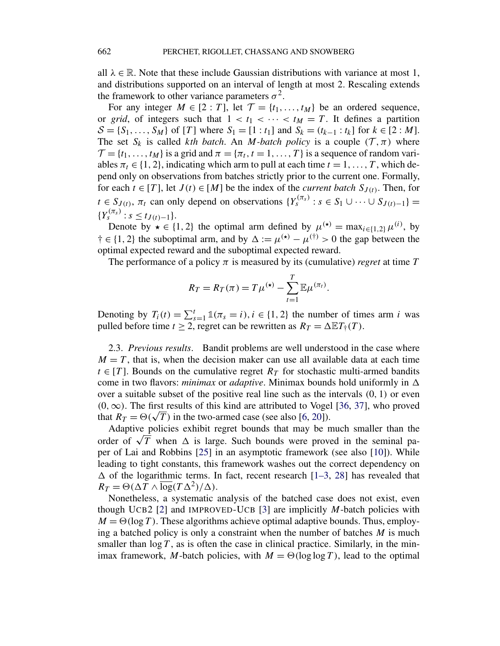all  $\lambda \in \mathbb{R}$ . Note that these include Gaussian distributions with variance at most 1, and distributions supported on an interval of length at most 2. Rescaling extends the framework to other variance parameters  $\sigma^2$ .

For any integer  $M \in [2 : T]$ , let  $\mathcal{T} = \{t_1, \ldots, t_M\}$  be an ordered sequence, or *grid*, of integers such that  $1 < t_1 < \cdots < t_M = T$ . It defines a partition *S* = {*S*<sub>1</sub>*,..., S<sub><i>M*</sub>} of [*T*] where *S*<sub>1</sub> = [1 : *t*<sub>1</sub>] and *S*<sub>*k*</sub> = (*t*<sub>*k*−1</sub> : *t<sub>k</sub>*] for *k* ∈ [2 : *M*]. The set  $S_k$  is called *kth batch*. An *M-batch policy* is a couple  $(T, \pi)$  where  $\mathcal{T} = \{t_1, \ldots, t_M\}$  is a grid and  $\pi = \{\pi_t, t = 1, \ldots, T\}$  is a sequence of random variables  $\pi_t \in \{1, 2\}$ , indicating which arm to pull at each time  $t = 1, \ldots, T$ , which depend only on observations from batches strictly prior to the current one. Formally, for each  $t \in [T]$ , let  $J(t) \in [M]$  be the index of the *current batch*  $S_{J(t)}$ . Then, for  $t \in S_{J(t)}, \pi_t$  can only depend on observations  $\{Y_s^{(\pi_s)} : s \in S_1 \cup \cdots \cup S_{J(t)-1}\}$  =  ${Y_s^{(\pi_s)} : s \le t_{J(t)-1}}$ .

Denote by  $\star \in \{1, 2\}$  the optimal arm defined by  $\mu^{(\star)} = \max_{i \in \{1, 2\}} \mu^{(i)}$ , by  $\dagger \in \{1, 2\}$  the suboptimal arm, and by  $\Delta := \mu^{(\star)} - \mu^{(\dagger)} > 0$  the gap between the optimal expected reward and the suboptimal expected reward.

The performance of a policy  $\pi$  is measured by its (cumulative) *regret* at time *T* 

$$
R_T = R_T(\pi) = T\mu^{(\star)} - \sum_{t=1}^T \mathbb{E}\mu^{(\pi_t)}.
$$

Denoting by  $T_i(t) = \sum_{s=1}^t \mathbb{1}(\pi_s = i), i \in \{1, 2\}$  the number of times arm *i* was pulled before time  $t \ge 2$ , regret can be rewritten as  $R_T = \Delta \mathbb{E} T_{\dagger}(T)$ .

2.3. *Previous results*. Bandit problems are well understood in the case where  $M = T$ , that is, when the decision maker can use all available data at each time  $t \in [T]$ . Bounds on the cumulative regret  $R_T$  for stochastic multi-armed bandits come in two flavors: *minimax* or *adaptive*. Minimax bounds hold uniformly in  $\Delta$ over a suitable subset of the positive real line such as the intervals *(*0*,* 1*)* or even *(*0*,*∞*)*. The first results of this kind are attributed to Vogel [36, 37], who proved that  $R_T = \Theta(\sqrt{T})$  in the two-armed case (see also [6, 20]).

Adaptive policies exhibit regret bounds that may be much smaller than the order of  $\sqrt{T}$  when  $\Delta$  is large. Such bounds were proved in the seminal paper of Lai and Robbins [25] in an asymptotic framework (see also [10]). While leading to tight constants, this framework washes out the correct dependency on  $\Delta$  of the logarithmic terms. In fact, recent research [1–3, 28] has revealed that  $R_T = \Theta(\Delta T \wedge \overline{\log(T \Delta^2) / \Delta}).$ 

Nonetheless, a systematic analysis of the batched case does not exist, even though UCB2 [2] and IMPROVED-UCB [3] are implicitly *M*-batch policies with  $M = \Theta(\log T)$ . These algorithms achieve optimal adaptive bounds. Thus, employing a batched policy is only a constraint when the number of batches *M* is much smaller than  $\log T$ , as is often the case in clinical practice. Similarly, in the minimax framework, *M*-batch policies, with  $M = \Theta(\log \log T)$ , lead to the optimal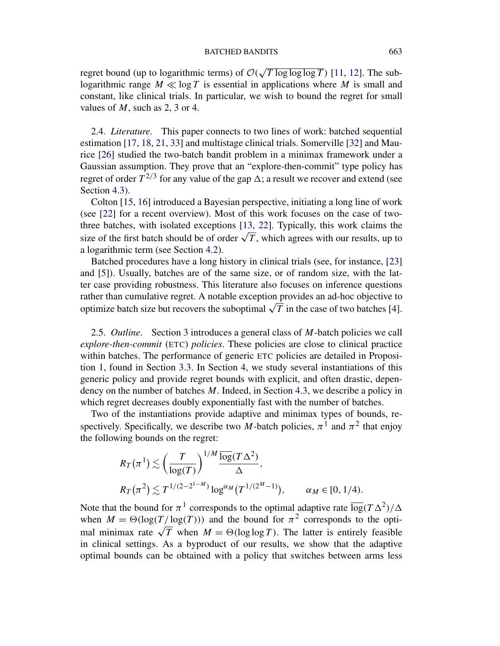regret bound (up to logarithmic terms) of  $O(\sqrt{T \log \log \log T})$  [11, 12]. The sublogarithmic range  $M \ll \log T$  is essential in applications where M is small and constant, like clinical trials. In particular, we wish to bound the regret for small values of *M*, such as 2, 3 or 4.

2.4. *Literature*. This paper connects to two lines of work: batched sequential estimation [17, 18, 21, 33] and multistage clinical trials. Somerville [32] and Maurice [26] studied the two-batch bandit problem in a minimax framework under a Gaussian assumption. They prove that an "explore-then-commit" type policy has regret of order  $T^{2/3}$  for any value of the gap  $\Delta$ ; a result we recover and extend (see Section 4.3).

Colton [15, 16] introduced a Bayesian perspective, initiating a long line of work (see [22] for a recent overview). Most of this work focuses on the case of twothree batches, with isolated exceptions [13, 22]. Typically, this work claims the size of the first batch should be of order  $\sqrt{T}$ , which agrees with our results, up to a logarithmic term (see Section 4.2).

Batched procedures have a long history in clinical trials (see, for instance, [23] and [5]). Usually, batches are of the same size, or of random size, with the latter case providing robustness. This literature also focuses on inference questions rather than cumulative regret. A notable exception provides an ad-hoc objective to optimize batch size but recovers the suboptimal  $\sqrt{T}$  in the case of two batches [4].

2.5. *Outline*. Section 3 introduces a general class of *M*-batch policies we call *explore-then-commit* (ETC) *policies*. These policies are close to clinical practice within batches. The performance of generic ETC policies are detailed in Proposition 1, found in Section 3.3. In Section 4, we study several instantiations of this generic policy and provide regret bounds with explicit, and often drastic, dependency on the number of batches *M*. Indeed, in Section 4.3, we describe a policy in which regret decreases doubly exponentially fast with the number of batches.

Two of the instantiations provide adaptive and minimax types of bounds, respectively. Specifically, we describe two *M*-batch policies,  $\pi^1$  and  $\pi^2$  that enjoy the following bounds on the regret:

$$
R_T(\pi^1) \lesssim \left(\frac{T}{\log(T)}\right)^{1/M} \frac{\log(T \Delta^2)}{\Delta},
$$
  
\n
$$
R_T(\pi^2) \lesssim T^{1/(2-2^{1-M})} \log^{\alpha_M}(T^{1/(2^M-1)}), \qquad \alpha_M \in [0, 1/4).
$$

Note that the bound for  $\pi^1$  corresponds to the optimal adaptive rate  $\overline{\log}(T\Delta^2)/\Delta$ when  $M = \Theta(\log(T/\log(T)))$  and the bound for  $\pi^2$  corresponds to the optimal minimax rate  $\sqrt{T}$  when  $M = \Theta(\log \log T)$ . The latter is entirely feasible in clinical settings. As a byproduct of our results, we show that the adaptive optimal bounds can be obtained with a policy that switches between arms less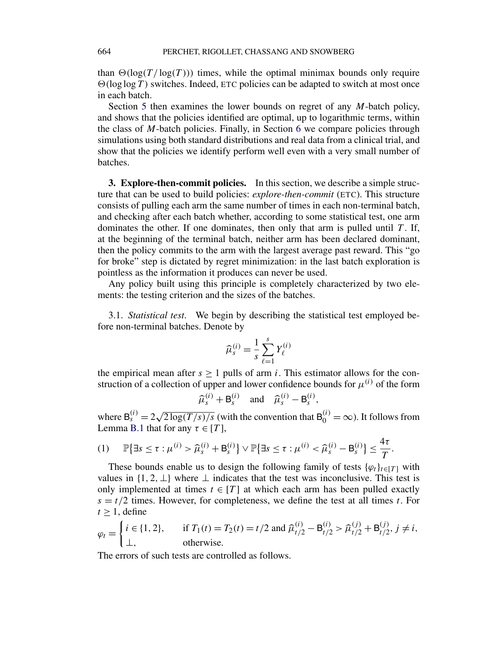than  $\Theta(\log(T/\log(T)))$  times, while the optimal minimax bounds only require  $\Theta(\log \log T)$  switches. Indeed, ETC policies can be adapted to switch at most once in each batch.

Section 5 then examines the lower bounds on regret of any *M*-batch policy, and shows that the policies identified are optimal, up to logarithmic terms, within the class of *M*-batch policies. Finally, in Section 6 we compare policies through simulations using both standard distributions and real data from a clinical trial, and show that the policies we identify perform well even with a very small number of batches.

**3. Explore-then-commit policies.** In this section, we describe a simple structure that can be used to build policies: *explore-then-commit* (ETC). This structure consists of pulling each arm the same number of times in each non-terminal batch, and checking after each batch whether, according to some statistical test, one arm dominates the other. If one dominates, then only that arm is pulled until  $T$ . If, at the beginning of the terminal batch, neither arm has been declared dominant, then the policy commits to the arm with the largest average past reward. This "go for broke" step is dictated by regret minimization: in the last batch exploration is pointless as the information it produces can never be used.

Any policy built using this principle is completely characterized by two elements: the testing criterion and the sizes of the batches.

3.1. *Statistical test*. We begin by describing the statistical test employed before non-terminal batches. Denote by

$$
\widehat{\mu}_s^{(i)} = \frac{1}{s} \sum_{\ell=1}^s Y_\ell^{(i)}
$$

the empirical mean after  $s \ge 1$  pulls of arm *i*. This estimator allows for the construction of a collection of upper and lower confidence bounds for  $\mu^{(i)}$  of the form

$$
\widehat{\mu}_s^{(i)} + \mathsf{B}_s^{(i)}
$$
 and  $\widehat{\mu}_s^{(i)} - \mathsf{B}_s^{(i)}$ ,

where  $B_s^{(i)} = 2\sqrt{2\log(T/s)/s}$  (with the convention that  $B_0^{(i)} = \infty$ ). It follows from Lemma B.1 that for any  $\tau \in [T]$ ,

$$
(1) \qquad \mathbb{P}\big\{\exists s\leq \tau: \mu^{(i)} > \widehat{\mu}_s^{(i)} + \mathsf{B}_s^{(i)}\big\} \vee \mathbb{P}\big\{\exists s\leq \tau: \mu^{(i)} < \widehat{\mu}_s^{(i)} - \mathsf{B}_s^{(i)}\big\} \leq \frac{4\tau}{T}.
$$

These bounds enable us to design the following family of tests  $\{\varphi_t\}_{t \in [T]}$  with values in  $\{1, 2, \perp\}$  where  $\perp$  indicates that the test was inconclusive. This test is only implemented at times  $t \in [T]$  at which each arm has been pulled exactly  $s = t/2$  times. However, for completeness, we define the test at all times *t*. For  $t \geq 1$ , define

$$
\varphi_t = \begin{cases} i \in \{1, 2\}, & \text{if } T_1(t) = T_2(t) = t/2 \text{ and } \widehat{\mu}_{t/2}^{(i)} - \mathsf{B}_{t/2}^{(i)} > \widehat{\mu}_{t/2}^{(j)} + \mathsf{B}_{t/2}^{(j)}, \ j \neq i, \\ \perp, & \text{otherwise.} \end{cases}
$$

The errors of such tests are controlled as follows.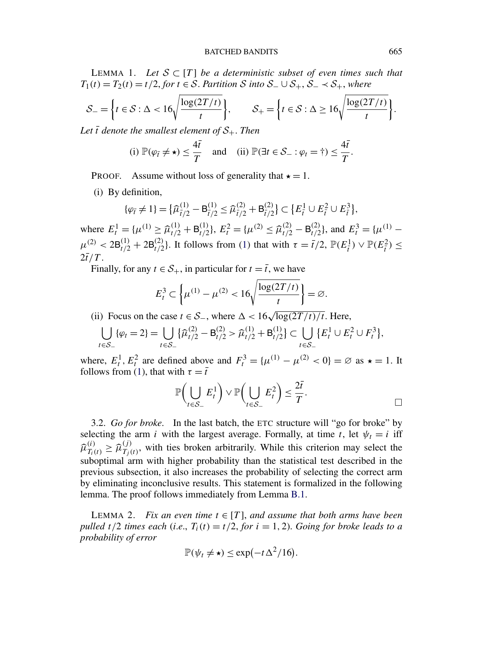LEMMA 1. Let  $S \subset [T]$  be a deterministic subset of even times such that  $T_1(t) = T_2(t) = t/2$ , for  $t \in S$ . Partition *S* into  $S$ − ∪  $S$ <sub>+</sub>,  $S$ −  $\prec$   $S$ <sub>+</sub>, *where* 

$$
S_{-} = \left\{ t \in S : \Delta < 16 \sqrt{\frac{\log(2T/t)}{t}} \right\}, \qquad S_{+} = \left\{ t \in S : \Delta \ge 16 \sqrt{\frac{\log(2T/t)}{t}} \right\}.
$$

*Let t* ¯ *denote the smallest element of S*+. *Then*

(i) 
$$
\mathbb{P}(\varphi_{\bar{t}} \neq \star) \leq \frac{4\bar{t}}{T}
$$
 and (ii)  $\mathbb{P}(\exists t \in S_- : \varphi_t = \dagger) \leq \frac{4\bar{t}}{T}$ .

PROOF. Assume without loss of generality that  $\star = 1$ .

(i) By definition,

{ϕ*t*

$$
\varphi_{\bar{t}} \neq 1 = \{ \widehat{\mu}_{\bar{t}/2}^{(1)} - B_{\bar{t}/2}^{(1)} \leq \widehat{\mu}_{\bar{t}/2}^{(2)} + B_{\bar{t}/2}^{(2)} \} \subset \{ E_{\bar{t}}^1 \cup E_{\bar{t}}^2 \cup E_{\bar{t}}^3 \},
$$

where  $E_t^1 = {\mu^{(1)} \ge \widehat{\mu}_{t/2}^{(1)} + B_{t/2}^{(1)}}, E_t^2 = {\mu^{(2)} \le \widehat{\mu}_{t/2}^{(2)} - B_{t/2}^{(2)}}, \text{ and } E_t^3 = {\mu^{(1)} - \widehat{\mu}_{t/2}^{(1)}}$  $\mu^{(2)} < 2B_{t/2}^{(1)} + 2B_{t/2}^{(2)}$ . It follows from (1) that with  $\tau = \bar{t}/2$ ,  $\mathbb{P}(E_{\bar{t}}^1) \vee \mathbb{P}(E_{\bar{t}}^2) \leq$  $2\bar{t}/T$ .

Finally, for any  $t \in S_+$ , in particular for  $t = \overline{t}$ , we have

$$
E_t^3 \subset \left\{ \mu^{(1)} - \mu^{(2)} < 16 \sqrt{\frac{\log(2T/t)}{t}} \right\} = \varnothing.
$$

(ii) Focus on the case  $t \in S_$ , where  $\Delta < 16\sqrt{\log(2T/t)/t}$ . Here,

$$
\bigcup_{t \in S_-} {\varphi_t} = 2 = \bigcup_{t \in S_-} {\{\widehat{\mu}_{t/2}^{(2)} - B_{t/2}^{(2)} > \widehat{\mu}_{t/2}^{(1)} + B_{t/2}^{(1)}\}} \subset \bigcup_{t \in S_-} {\{E_t^1 \cup E_t^2 \cup F_t^3\}},
$$

where,  $E_t^1$ ,  $E_t^2$  are defined above and  $F_t^3 = {\mu^{(1)} - \mu^{(2)} < 0} = \emptyset$  as  $\star = 1$ . It follows from (1), that with  $\tau = \bar{t}$ 

$$
\mathbb{P}\bigg(\bigcup_{t\in\mathcal{S}_-} E_t^1\bigg) \vee \mathbb{P}\bigg(\bigcup_{t\in\mathcal{S}_-} E_t^2\bigg) \leq \frac{2\bar{t}}{T}.
$$

3.2. *Go for broke*. In the last batch, the ETC structure will "go for broke" by selecting the arm *i* with the largest average. Formally, at time *t*, let  $\psi_t = i$  iff  $\hat{\mu}_{T_i(t)}^{(i)} \ge \hat{\mu}_{T_j(t)}^{(j)}$ , with ties broken arbitrarily. While this criterion may select the suboptimal arm with higher probability than the statistical test described in the previous subsection, it also increases the probability of selecting the correct arm by eliminating inconclusive results. This statement is formalized in the following lemma. The proof follows immediately from Lemma B.1.

LEMMA 2. *Fix an even time*  $t \in [T]$ , and assume that both arms have been *pulled*  $t/2$  *times each* (*i.e.*,  $T_i(t) = t/2$ , *for*  $i = 1, 2$ ). *Going for broke leads to a probability of error*

$$
\mathbb{P}(\psi_t \neq \star) \leq \exp(-t\Delta^2/16).
$$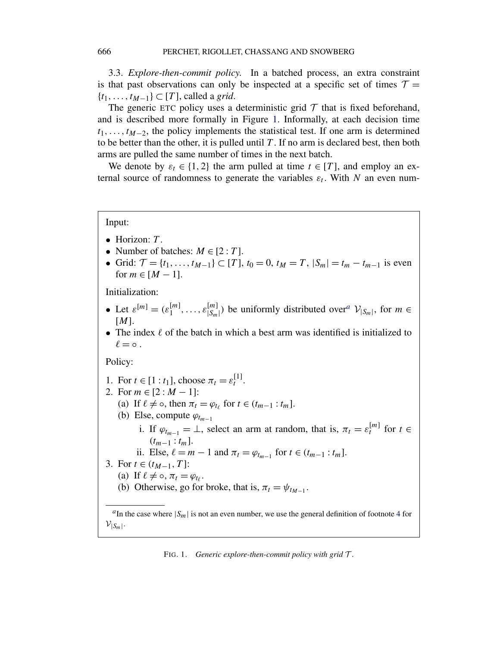3.3. *Explore-then-commit policy*. In a batched process, an extra constraint is that past observations can only be inspected at a specific set of times  $\mathcal{T} =$ {*t*1*,...,tM*−1} ⊂ [*T* ], called a *grid*.

The generic ETC policy uses a deterministic grid  $\mathcal T$  that is fixed beforehand, and is described more formally in Figure 1. Informally, at each decision time  $t_1, \ldots, t_{M-2}$ , the policy implements the statistical test. If one arm is determined to be better than the other, it is pulled until *T* . If no arm is declared best, then both arms are pulled the same number of times in the next batch.

We denote by  $\varepsilon_t \in \{1, 2\}$  the arm pulled at time  $t \in [T]$ , and employ an external source of randomness to generate the variables  $\varepsilon_t$ . With N an even num-

## Input:

- Horizon: *T* .
- Number of batches:  $M \in [2 : T]$ .
- Grid:  $\mathcal{T} = \{t_1, \ldots, t_{M-1}\} \subset [T]$ ,  $t_0 = 0$ ,  $t_M = T$ ,  $|S_m| = t_m t_{m-1}$  is even for  $m \in [M - 1]$ .

Initialization:

- Let  $\varepsilon^{[m]} = (\varepsilon_1^{[m]}, \dots, \varepsilon_{|S_m}^{[m]}$  $\binom{[m]}{S_m}$  be uniformly distributed over<sup>*a*</sup>  $\mathcal{V}_{|S_m|}$ , for  $m \in$ [*M*].
- The index  $\ell$  of the batch in which a best arm was identified is initialized to  $\ell = \circ$ .

Policy:

- 1. For  $t \in [1 : t_1]$ , choose  $\pi_t = \varepsilon_t^{[1]}$ .
- 2. For  $m \in [2 : M 1]$ :
	- (a) If  $\ell \neq \infty$ , then  $\pi_t = \varphi_{t_\ell}$  for  $t \in (t_{m-1} : t_m]$ .
	- (b) Else, compute  $\varphi_{t_{m-1}}$ 
		- i. If  $\varphi_{t_{m-1}} = \bot$ , select an arm at random, that is,  $\pi_t = \varepsilon_t^{[m]}$  for  $t \in$  $(t_{m-1}$  :  $t_m$ ].
		- ii. Else,  $\ell = m 1$  and  $\pi_t = \varphi_{t_{m-1}}$  for  $t \in (t_{m-1} : t_m]$ .

3. For 
$$
t \in (t_{M-1}, T]
$$
:

- (a) If  $\ell \neq \infty$ ,  $\pi_t = \varphi_{t_\ell}$ .
- (b) Otherwise, go for broke, that is,  $\pi_t = \psi_{t_{M-1}}$ .

<sup>*a*</sup>In the case where  $|S_m|$  is not an even number, we use the general definition of footnote 4 for  $V_{|S_m|}$ .

FIG. 1. *Generic explore-then-commit policy with grid T* .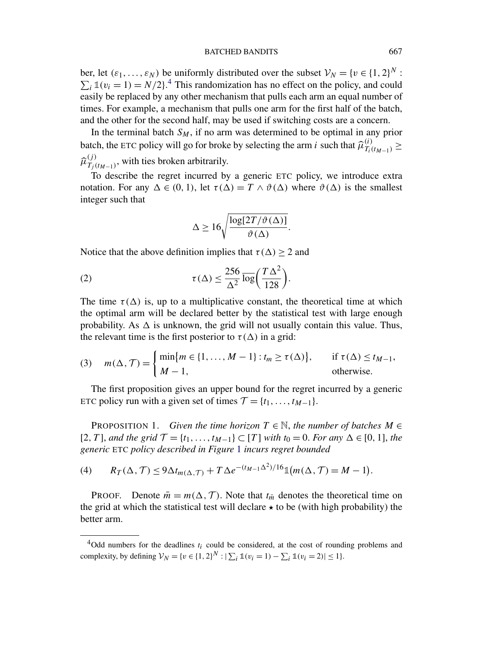ber, let  $(\varepsilon_1, \ldots, \varepsilon_N)$  be uniformly distributed over the subset  $V_N = \{v \in \{1, 2\}^N$ :  $\sum_i \mathbb{1}(v_i = 1) = N/2$ <sup>4</sup>. This randomization has no effect on the policy, and could easily be replaced by any other mechanism that pulls each arm an equal number of times. For example, a mechanism that pulls one arm for the first half of the batch, and the other for the second half, may be used if switching costs are a concern.

In the terminal batch  $S_M$ , if no arm was determined to be optimal in any prior batch, the ETC policy will go for broke by selecting the arm *i* such that  $\hat{\mu}_{T_i(t_{M-1})}^{(i)} \geq$  $\widehat{\mu}_{T_j(t_{M-1})}^{(j)}$ , with ties broken arbitrarily.

To describe the regret incurred by a generic ETC policy, we introduce extra notation. For any  $\Delta \in (0, 1)$ , let  $\tau(\Delta) = T \wedge \vartheta(\Delta)$  where  $\vartheta(\Delta)$  is the smallest integer such that

$$
\Delta \ge 16 \sqrt{\frac{\log[2T/\vartheta(\Delta)]}{\vartheta(\Delta)}}.
$$

Notice that the above definition implies that  $\tau(\Delta) \geq 2$  and

(2) 
$$
\tau(\Delta) \leq \frac{256}{\Delta^2} \overline{\log} \left( \frac{T \Delta^2}{128} \right).
$$

The time  $\tau(\Delta)$  is, up to a multiplicative constant, the theoretical time at which the optimal arm will be declared better by the statistical test with large enough probability. As  $\Delta$  is unknown, the grid will not usually contain this value. Thus, the relevant time is the first posterior to  $\tau(\Delta)$  in a grid:

(3) 
$$
m(\Delta, \mathcal{T}) = \begin{cases} \min\{m \in \{1, ..., M-1\} : t_m \ge \tau(\Delta)\}, & \text{if } \tau(\Delta) \le t_{M-1}, \\ M-1, & \text{otherwise.} \end{cases}
$$

The first proposition gives an upper bound for the regret incurred by a generic ETC policy run with a given set of times  $\mathcal{T} = \{t_1, \ldots, t_{M-1}\}.$ 

PROPOSITION 1. *Given the time horizon*  $T \in \mathbb{N}$ , the number of batches  $M \in$ [2*, T*], *and the grid*  $\mathcal{T} = \{t_1, ..., t_{M-1}\}$  ⊂ [*T*] *with t*<sub>0</sub> = 0. *For any* ∆ ∈ [0*,* 1], *the generic* ETC *policy described in Figure* 1 *incurs regret bounded*

(4) 
$$
R_T(\Delta, \mathcal{T}) \leq 9\Delta t_{m(\Delta, \mathcal{T})} + T \Delta e^{-(t_{M-1}\Delta^2)/16} \mathbb{1}(m(\Delta, \mathcal{T}) = M - 1).
$$

PROOF. Denote  $\bar{m} = m(\Delta, \mathcal{T})$ . Note that  $t_{\bar{m}}$  denotes the theoretical time on the grid at which the statistical test will declare  $\star$  to be (with high probability) the better arm.

 $4$ Odd numbers for the deadlines  $t_i$  could be considered, at the cost of rounding problems and complexity, by defining  $V_N = \{v \in \{1, 2\}^N : |\sum_i \mathbb{1}(v_i = 1) - \sum_i \mathbb{1}(v_i = 2)| \le 1\}.$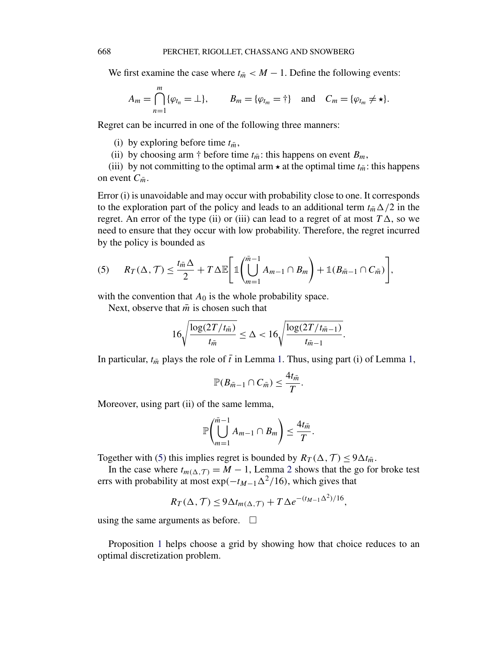We first examine the case where  $t_{\overline{m}} < M - 1$ . Define the following events:

$$
A_m = \bigcap_{n=1}^m \{ \varphi_{t_n} = \bot \}, \qquad B_m = \{ \varphi_{t_m} = \dagger \} \quad \text{and} \quad C_m = \{ \varphi_{t_m} \neq \star \}.
$$

Regret can be incurred in one of the following three manners:

(i) by exploring before time  $t_{\bar{m}}$ ,

(ii) by choosing arm  $\dagger$  before time  $t_{\overline{m}}$ : this happens on event  $B_m$ ,

(iii) by not committing to the optimal arm  $\star$  at the optimal time  $t_{\overline{n}}$ : this happens on event  $C_{\bar{m}}$ .

Error (i) is unavoidable and may occur with probability close to one. It corresponds to the exploration part of the policy and leads to an additional term  $t_{\overline{m}}\Delta/2$  in the regret. An error of the type (ii) or (iii) can lead to a regret of at most  $T\Delta$ , so we need to ensure that they occur with low probability. Therefore, the regret incurred by the policy is bounded as

$$
(5) \qquad R_T(\Delta, \mathcal{T}) \leq \frac{t_{\bar{m}}\Delta}{2} + T\Delta \mathbb{E}\Bigg[\mathbb{1}\Bigg(\bigcup_{m=1}^{\bar{m}-1} A_{m-1} \cap B_m\Bigg) + \mathbb{1}(B_{\bar{m}-1} \cap C_{\bar{m}})\Bigg],
$$

with the convention that  $A_0$  is the whole probability space.

Next, observe that  $\overline{m}$  is chosen such that

$$
16\sqrt{\frac{\log(2T/t_{\bar{m}})}{t_{\bar{m}}}} \leq \Delta < 16\sqrt{\frac{\log(2T/t_{\bar{m}}-1)}{t_{\bar{m}}-1}}.
$$

In particular,  $t_{\bar{m}}$  plays the role of  $\bar{t}$  in Lemma 1. Thus, using part (i) of Lemma 1,

$$
\mathbb{P}(B_{\bar{m}-1}\cap C_{\bar{m}})\leq \frac{4t_{\bar{m}}}{T}.
$$

Moreover, using part (ii) of the same lemma,

$$
\mathbb{P}\left(\bigcup_{m=1}^{\bar{m}-1} A_{m-1}\cap B_m\right)\leq \frac{4t_{\bar{m}}}{T}.
$$

Together with (5) this implies regret is bounded by  $R_T(\Delta, \mathcal{T}) \leq 9\Delta t_{\bar{m}}$ .

In the case where  $t_{m(\Delta, \mathcal{T})} = M - 1$ , Lemma 2 shows that the go for broke test errs with probability at most  $\exp(-t_{M-1}\Delta^2/16)$ , which gives that

$$
R_T(\Delta, \mathcal{T}) \le 9\Delta t_{m(\Delta, \mathcal{T})} + T \Delta e^{-(t_{M-1}\Delta^2)/16},
$$

using the same arguments as before.  $\Box$ 

Proposition 1 helps choose a grid by showing how that choice reduces to an optimal discretization problem.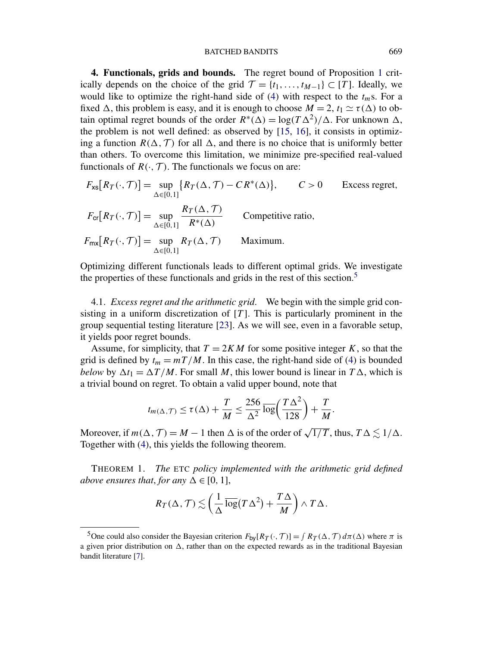#### BATCHED BANDITS 669

**4. Functionals, grids and bounds.** The regret bound of Proposition 1 critically depends on the choice of the grid  $\mathcal{T} = \{t_1, \ldots, t_{M-1}\} \subset [T]$ . Ideally, we would like to optimize the right-hand side of  $(4)$  with respect to the  $t_m$ s. For a fixed  $\Delta$ , this problem is easy, and it is enough to choose  $M = 2$ ,  $t_1 \simeq \tau(\Delta)$  to obtain optimal regret bounds of the order  $R^*(\Delta) = \log(T\Delta^2)/\Delta$ . For unknown  $\Delta$ , the problem is not well defined: as observed by [15, 16], it consists in optimizing a function  $R(\Delta, \mathcal{T})$  for all  $\Delta$ , and there is no choice that is uniformly better than others. To overcome this limitation, we minimize pre-specified real-valued functionals of  $R(\cdot, \mathcal{T})$ . The functionals we focus on are:

$$
F_{\text{xs}}[R_T(\cdot, \mathcal{T})] = \sup_{\Delta \in [0,1]} \{ R_T(\Delta, \mathcal{T}) - CR^*(\Delta) \}, \qquad C > 0 \qquad \text{Excess regret},
$$
  
\n
$$
F_{\text{cr}}[R_T(\cdot, \mathcal{T})] = \sup_{\Delta \in [0,1]} \frac{R_T(\Delta, \mathcal{T})}{R^*(\Delta)} \qquad \text{Competitive ratio},
$$
  
\n
$$
F_{\text{mx}}[R_T(\cdot, \mathcal{T})] = \sup_{\Delta \in [0,1]} R_T(\Delta, \mathcal{T}) \qquad \text{Maximum}.
$$

Optimizing different functionals leads to different optimal grids. We investigate the properties of these functionals and grids in the rest of this section.<sup>5</sup>

4.1. *Excess regret and the arithmetic grid*. We begin with the simple grid consisting in a uniform discretization of [*T* ]. This is particularly prominent in the group sequential testing literature [23]. As we will see, even in a favorable setup, it yields poor regret bounds.

Assume, for simplicity, that  $T = 2KM$  for some positive integer K, so that the grid is defined by  $t_m = mT/M$ . In this case, the right-hand side of (4) is bounded *below* by  $\Delta t_1 = \Delta T / M$ . For small *M*, this lower bound is linear in  $T \Delta$ , which is a trivial bound on regret. To obtain a valid upper bound, note that

$$
t_{m(\Delta,T)} \leq \tau(\Delta) + \frac{T}{M} \leq \frac{256}{\Delta^2} \overline{\log} \left( \frac{T \Delta^2}{128} \right) + \frac{T}{M}.
$$

Moreover, if  $m(\Delta, \mathcal{T}) = M - 1$  then  $\Delta$  is of the order of  $\sqrt{1/T}$ , thus,  $T \Delta \lesssim 1/\Delta$ . Together with (4), this yields the following theorem.

THEOREM 1. *The* ETC *policy implemented with the arithmetic grid defined above ensures that, for any*  $\Delta \in [0, 1]$ ,

$$
R_T(\Delta, \mathcal{T}) \lesssim \left(\frac{1}{\Delta} \overline{\log}(T\Delta^2) + \frac{T\Delta}{M}\right) \wedge T\Delta.
$$

<sup>5</sup>One could also consider the Bayesian criterion  $F_{by}[R_T(\cdot, \mathcal{T})] = \int R_T(\Delta, \mathcal{T}) d\pi(\Delta)$  where  $\pi$  is a given prior distribution on  $\Delta$ , rather than on the expected rewards as in the traditional Bayesian bandit literature [7].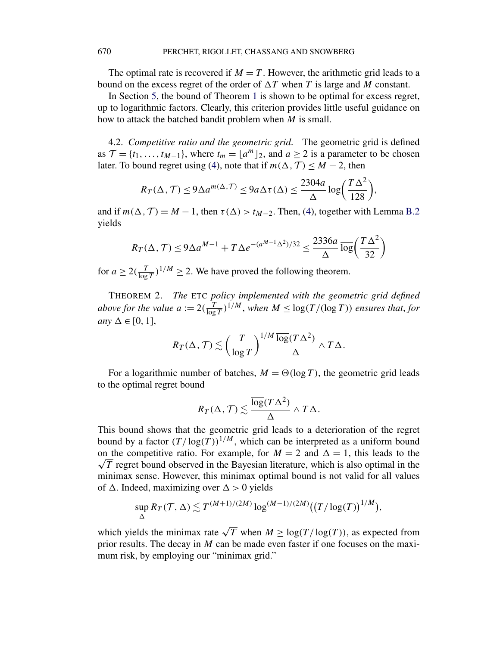The optimal rate is recovered if  $M = T$ . However, the arithmetic grid leads to a bound on the excess regret of the order of  $\Delta T$  when *T* is large and *M* constant.

In Section 5, the bound of Theorem 1 is shown to be optimal for excess regret, up to logarithmic factors. Clearly, this criterion provides little useful guidance on how to attack the batched bandit problem when *M* is small.

4.2. *Competitive ratio and the geometric grid*. The geometric grid is defined as  $\mathcal{T} = \{t_1, \ldots, t_{M-1}\}$ , where  $t_m = \lfloor a^m \rfloor_2$ , and  $a \geq 2$  is a parameter to be chosen later. To bound regret using (4), note that if  $m(\Delta, \mathcal{T}) \leq M - 2$ , then

$$
R_T(\Delta, \mathcal{T}) \le 9\Delta a^{m(\Delta, \mathcal{T})} \le 9a\Delta \tau(\Delta) \le \frac{2304a}{\Delta} \overline{\log} \left( \frac{T\Delta^2}{128} \right),
$$

and if  $m(\Delta, \mathcal{T}) = M - 1$ , then  $\tau(\Delta) > t_{M-2}$ . Then, (4), together with Lemma B.2 yields

$$
R_T(\Delta, \mathcal{T}) \le 9\Delta a^{M-1} + T\Delta e^{-(a^{M-1}\Delta^2)/32} \le \frac{2336a}{\Delta} \overline{\log} \left(\frac{T\Delta^2}{32}\right)
$$

for  $a \ge 2(\frac{T}{\log T})^{1/M} \ge 2$ . We have proved the following theorem.

THEOREM 2. *The* ETC *policy implemented with the geometric grid defined above for the value*  $a := 2(\frac{T}{\log T})^{1/M}$ , when  $M \leq \log(T/(\log T))$  ensures that, for *any*  $\Delta \in [0, 1]$ ,

$$
R_T(\Delta, \mathcal{T}) \lesssim \left(\frac{T}{\log T}\right)^{1/M} \frac{\overline{\log}(T\Delta^2)}{\Delta} \wedge T\Delta.
$$

For a logarithmic number of batches,  $M = \Theta(\log T)$ , the geometric grid leads to the optimal regret bound

$$
R_T(\Delta, \mathcal{T}) \lesssim \frac{\overline{\log}(T\Delta^2)}{\Delta} \wedge T\Delta.
$$

This bound shows that the geometric grid leads to a deterioration of the regret bound by a factor  $(T/\log(T))^{1/M}$ , which can be interpreted as a uniform bound on the competitive ratio. For example, for  $M = 2$  and  $\Delta = 1$ , this leads to the  $\sqrt{T}$  regret bound observed in the Bayesian literature, which is also optimal in the minimax sense. However, this minimax optimal bound is not valid for all values of  $\Delta$ . Indeed, maximizing over  $\Delta > 0$  yields

$$
\sup_{\Delta} R_T(\mathcal{T}, \Delta) \lesssim T^{(M+1)/(2M)} \log^{(M-1)/(2M)} \bigl( (T/\log(T))^{1/M} \bigr),
$$

which yields the minimax rate  $\sqrt{T}$  when  $M \geq \log(T/\log(T))$ , as expected from prior results. The decay in *M* can be made even faster if one focuses on the maximum risk, by employing our "minimax grid."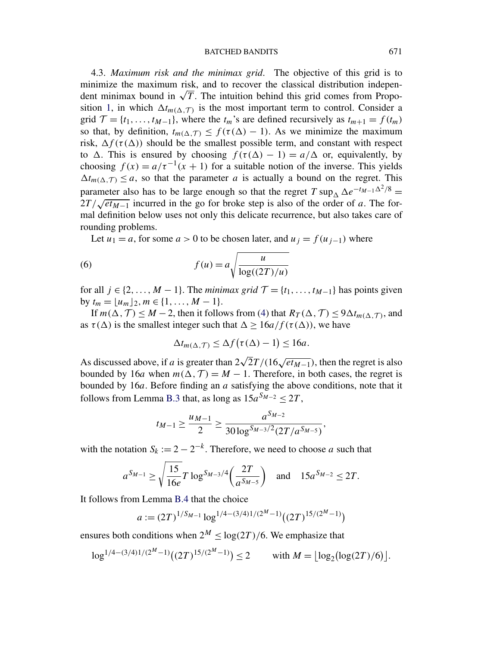#### BATCHED BANDITS 671

4.3. *Maximum risk and the minimax grid*. The objective of this grid is to minimize the maximum risk, and to recover the classical distribution independent minimax bound in  $\sqrt{T}$ . The intuition behind this grid comes from Proposition 1, in which  $\Delta t_{m(\Delta, \mathcal{T})}$  is the most important term to control. Consider a grid  $\mathcal{T} = \{t_1, \ldots, t_{M-1}\}$ , where the  $t_m$ 's are defined recursively as  $t_{m+1} = f(t_m)$ so that, by definition,  $t_{m(\Delta, \mathcal{T})} \leq f(\tau(\Delta) - 1)$ . As we minimize the maximum risk,  $\Delta f(\tau(\Delta))$  should be the smallest possible term, and constant with respect to  $\Delta$ . This is ensured by choosing  $f(\tau(\Delta) - 1) = a/\Delta$  or, equivalently, by choosing  $f(x) = a/\tau^{-1}(x + 1)$  for a suitable notion of the inverse. This yields  $\Delta t_{m(\Delta, \mathcal{T})} \leq a$ , so that the parameter *a* is actually a bound on the regret. This parameter also has to be large enough so that the regret  $T \sup_{\Delta} \Delta e^{-t_{M-1} \Delta^2/8}$  =  $2T/\sqrt{et_{M-1}}$  incurred in the go for broke step is also of the order of *a*. The formal definition below uses not only this delicate recurrence, but also takes care of rounding problems.

Let  $u_1 = a$ , for some  $a > 0$  to be chosen later, and  $u_j = f(u_{j-1})$  where

(6) 
$$
f(u) = a \sqrt{\frac{u}{\log((2T)/u)}}
$$

for all  $j \in \{2, ..., M-1\}$ . The *minimax grid*  $\mathcal{T} = \{t_1, ..., t_{M-1}\}$  has points given  $\text{by } t_m = |u_m|_2, m \in \{1, \ldots, M-1\}.$ 

If  $m(\Delta, \mathcal{T}) \leq M - 2$ , then it follows from (4) that  $R_{\mathcal{T}}(\Delta, \mathcal{T}) \leq 9\Delta t_{m(\Delta, \mathcal{T})}$ , and as  $\tau(\Delta)$  is the smallest integer such that  $\Delta \ge 16a/f(\tau(\Delta))$ , we have

$$
\Delta t_{m(\Delta, \mathcal{T})} \leq \Delta f(\tau(\Delta) - 1) \leq 16a.
$$

As discussed above, if *a* is greater than  $2\sqrt{2}T/(16\sqrt{et_{M-1}})$ , then the regret is also bounded by 16*a* when  $m(\Delta, \mathcal{T}) = M - 1$ . Therefore, in both cases, the regret is bounded by 16*a*. Before finding an *a* satisfying the above conditions, note that it follows from Lemma B.3 that, as long as  $15a^{S_{M-2}} \leq 2T$ ,

$$
t_{M-1} \ge \frac{u_{M-1}}{2} \ge \frac{a^{S_{M-2}}}{30 \log^{S_{M-3}/2}(2T/a^{S_{M-5}})},
$$

with the notation  $S_k := 2 - 2^{-k}$ . Therefore, we need to choose *a* such that

$$
a^{S_{M-1}} \ge \sqrt{\frac{15}{16e}} T \log^{S_{M-3}/4} \left( \frac{2T}{a^{S_{M-5}}} \right) \quad \text{and} \quad 15a^{S_{M-2}} \le 2T.
$$

It follows from Lemma B.4 that the choice

$$
a := (2T)^{1/S_{M-1}} \log^{1/4 - (3/4)1/(2^M - 1)} ((2T)^{15/(2^M - 1)})
$$

ensures both conditions when  $2^M \le \log(2T)/6$ . We emphasize that

$$
\log^{1/4 - (3/4)1/(2^M - 1)}((2T)^{15/(2^M - 1)}) \le 2 \quad \text{with } M = \lfloor \log_2(\log(2T)/6) \rfloor.
$$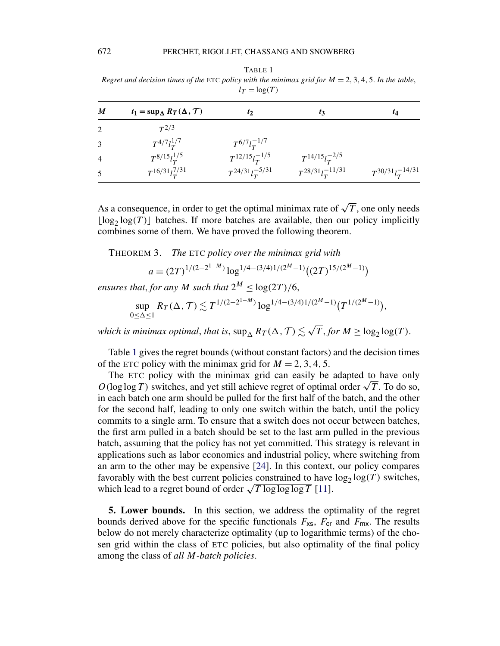TABLE 1 *Regret and decision times of the* ETC *policy with the minimax grid for M* = 2*,* 3*,* 4*,* 5. *In the table*,  $l_T = \log(T)$ 

| $\boldsymbol{M}$ | $t_1 = \sup_{\Delta} R_T(\Delta, \mathcal{T})$ | $t_2$                  | 13                      | $\iota_4$               |
|------------------|------------------------------------------------|------------------------|-------------------------|-------------------------|
| -2               | $T^{2/3}$                                      |                        |                         |                         |
| 3                | $T^{4/7}l_T^{1/7}$                             | $T^{6/7}l_T^{-1/7}$    |                         |                         |
| $\overline{4}$   | $T^{8/15}l_T^{1/5}$                            | $T^{12/15}l_T^{-1/5}$  | $T^{14/15}l_T^{-2/5}$   |                         |
|                  | $T^{16/31}l_T^{7/31}$                          | $T^{24/31}l_T^{-5/31}$ | $T^{28/31}l_T^{-11/31}$ | $T^{30/31}l_T^{-14/31}$ |

As a consequence, in order to get the optimal minimax rate of  $\sqrt{T}$ , one only needs  $\lfloor \log_2 \log(T) \rfloor$  batches. If more batches are available, then our policy implicitly combines some of them. We have proved the following theorem.

THEOREM 3. *The* ETC *policy over the minimax grid with*

$$
a = (2T)^{1/(2-2^{1-M})} \log^{1/4-(3/4)1/(2^M-1)}((2T)^{15/(2^M-1)})
$$

*ensures that, for any M such that*  $2^M \le \log(2T)/6$ ,

$$
\sup_{0 \leq \Delta \leq 1} R_T(\Delta, \mathcal{T}) \lesssim T^{1/(2-2^{1-M})} \log^{1/4-(3/4)1/(2^M-1)} (T^{1/(2^M-1)}),
$$

*which is minimax optimal, that is,*  $\sup_{\Delta} R_T(\Delta, \mathcal{T}) \lesssim \sqrt{T}$ , *for*  $M \ge \log_2 \log(T)$ .

Table 1 gives the regret bounds (without constant factors) and the decision times of the ETC policy with the minimax grid for  $M = 2, 3, 4, 5$ .

The ETC policy with the minimax grid can easily be adapted to have only *O*(log log *T*) switches, and yet still achieve regret of optimal order  $\sqrt{T}$ . To do so, in each batch one arm should be pulled for the first half of the batch, and the other for the second half, leading to only one switch within the batch, until the policy commits to a single arm. To ensure that a switch does not occur between batches, the first arm pulled in a batch should be set to the last arm pulled in the previous batch, assuming that the policy has not yet committed. This strategy is relevant in applications such as labor economics and industrial policy, where switching from an arm to the other may be expensive [24]. In this context, our policy compares favorably with the best current policies constrained to have  $log_2 log(T)$  switches, which lead to a regret bound of order  $\sqrt{T \log \log \log T}$  [11].

**5. Lower bounds.** In this section, we address the optimality of the regret bounds derived above for the specific functionals  $F_{\text{xs}}$ ,  $F_{\text{cr}}$  and  $F_{\text{mx}}$ . The results below do not merely characterize optimality (up to logarithmic terms) of the chosen grid within the class of ETC policies, but also optimality of the final policy among the class of *all M-batch policies*.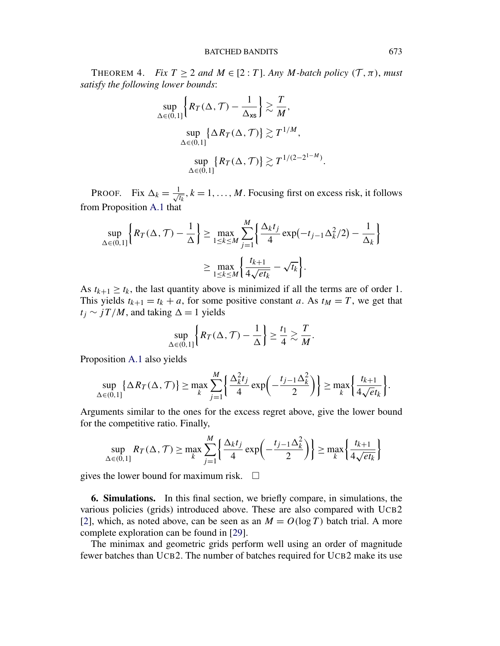THEOREM 4. *Fix*  $T \geq 2$  *and*  $M \in [2 : T]$ . *Any M*-batch policy  $(T, \pi)$ , *must satisfy the following lower bounds*:

$$
\sup_{\Delta \in (0,1]} \left\{ R_T(\Delta, \mathcal{T}) - \frac{1}{\Delta_{\mathbf{x}\mathbf{s}}} \right\} \gtrsim \frac{T}{M},
$$
  

$$
\sup_{\Delta \in (0,1]} \left\{ \Delta R_T(\Delta, \mathcal{T}) \right\} \gtrsim T^{1/M},
$$
  

$$
\sup_{\Delta \in (0,1]} \left\{ R_T(\Delta, \mathcal{T}) \right\} \gtrsim T^{1/(2-2^{1-M})}.
$$

PROOF. Fix  $\Delta_k = \frac{1}{\sqrt{k}}$  $\frac{1}{\overline{t_k}}$ ,  $k = 1, \ldots, M$ . Focusing first on excess risk, it follows from Proposition A.1 that

$$
\sup_{\Delta \in (0,1]} \left\{ R_T(\Delta, \mathcal{T}) - \frac{1}{\Delta} \right\} \ge \max_{1 \le k \le M} \sum_{j=1}^M \left\{ \frac{\Delta_k t_j}{4} \exp(-t_{j-1} \Delta_k^2 / 2) - \frac{1}{\Delta_k} \right\}
$$

$$
\ge \max_{1 \le k \le M} \left\{ \frac{t_{k+1}}{4\sqrt{et_k}} - \sqrt{t_k} \right\}.
$$

As  $t_{k+1} \geq t_k$ , the last quantity above is minimized if all the terms are of order 1. This yields  $t_{k+1} = t_k + a$ , for some positive constant *a*. As  $t_M = T$ , we get that  $t_j \sim jT/M$ , and taking  $\Delta = 1$  yields

$$
\sup_{\Delta \in (0,1]} \left\{ R_T(\Delta, \mathcal{T}) - \frac{1}{\Delta} \right\} \geq \frac{t_1}{4} \gtrsim \frac{T}{M}.
$$

Proposition A.1 also yields

$$
\sup_{\Delta \in (0,1]} {\lbrace \Delta R_T(\Delta, \mathcal{T}) \rbrace} \geq \max_{k} \sum_{j=1}^{M} {\lbrace \frac{\Delta_k^2 t_j}{4} \exp \left( -\frac{t_{j-1} \Delta_k^2}{2} \right) \rbrace} \geq \max_{k} {\lbrace \frac{t_{k+1}}{4 \sqrt{e t_k}} \rbrace}.
$$

Arguments similar to the ones for the excess regret above, give the lower bound for the competitive ratio. Finally,

$$
\sup_{\Delta \in (0,1]} R_T(\Delta, \mathcal{T}) \ge \max_k \sum_{j=1}^M \left\{ \frac{\Delta_k t_j}{4} \exp\left(-\frac{t_{j-1}\Delta_k^2}{2}\right) \right\} \ge \max_k \left\{ \frac{t_{k+1}}{4\sqrt{et_k}} \right\}
$$

gives the lower bound for maximum risk.  $\Box$ 

**6. Simulations.** In this final section, we briefly compare, in simulations, the various policies (grids) introduced above. These are also compared with UCB2 [2], which, as noted above, can be seen as an  $M = O(\log T)$  batch trial. A more complete exploration can be found in [29].

The minimax and geometric grids perform well using an order of magnitude fewer batches than UCB2. The number of batches required for UCB2 make its use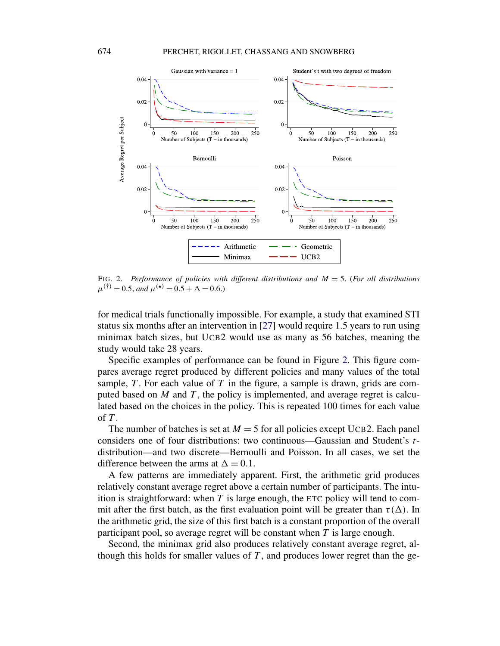

FIG. 2. *Performance of policies with different distributions and M* = 5. (*For all distributions*  $\mu^{(\dagger)} = 0.5$ , and  $\mu^{(\star)} = 0.5 + \Delta = 0.6$ .)

for medical trials functionally impossible. For example, a study that examined STI status six months after an intervention in [27] would require 1.5 years to run using minimax batch sizes, but UCB2 would use as many as 56 batches, meaning the study would take 28 years.

Specific examples of performance can be found in Figure 2. This figure compares average regret produced by different policies and many values of the total sample, *T*. For each value of *T* in the figure, a sample is drawn, grids are computed based on *M* and *T* , the policy is implemented, and average regret is calculated based on the choices in the policy. This is repeated 100 times for each value of *T* .

The number of batches is set at  $M = 5$  for all policies except UCB2. Each panel considers one of four distributions: two continuous—Gaussian and Student's *t*distribution—and two discrete—Bernoulli and Poisson. In all cases, we set the difference between the arms at  $\Delta = 0.1$ .

A few patterns are immediately apparent. First, the arithmetic grid produces relatively constant average regret above a certain number of participants. The intuition is straightforward: when *T* is large enough, the ETC policy will tend to commit after the first batch, as the first evaluation point will be greater than  $\tau(\Delta)$ . In the arithmetic grid, the size of this first batch is a constant proportion of the overall participant pool, so average regret will be constant when *T* is large enough.

Second, the minimax grid also produces relatively constant average regret, although this holds for smaller values of *T* , and produces lower regret than the ge-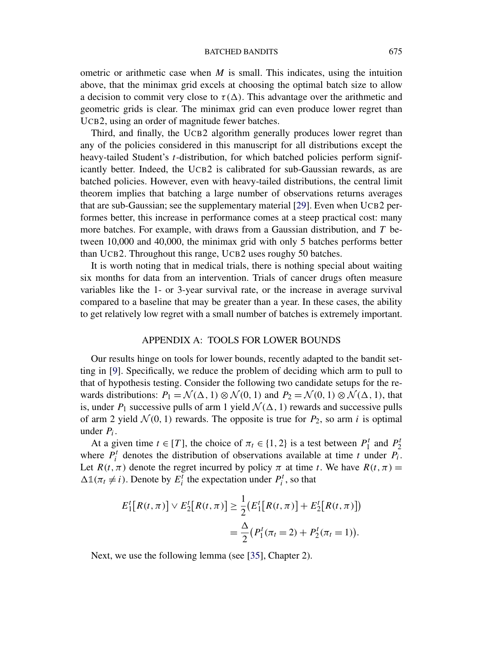#### BATCHED BANDITS 675

ometric or arithmetic case when *M* is small. This indicates, using the intuition above, that the minimax grid excels at choosing the optimal batch size to allow a decision to commit very close to  $\tau(\Delta)$ . This advantage over the arithmetic and geometric grids is clear. The minimax grid can even produce lower regret than UCB2, using an order of magnitude fewer batches.

Third, and finally, the UCB2 algorithm generally produces lower regret than any of the policies considered in this manuscript for all distributions except the heavy-tailed Student's *t*-distribution, for which batched policies perform significantly better. Indeed, the UCB2 is calibrated for sub-Gaussian rewards, as are batched policies. However, even with heavy-tailed distributions, the central limit theorem implies that batching a large number of observations returns averages that are sub-Gaussian; see the supplementary material [29]. Even when UCB2 performes better, this increase in performance comes at a steep practical cost: many more batches. For example, with draws from a Gaussian distribution, and *T* between 10,000 and 40,000, the minimax grid with only 5 batches performs better than UCB2. Throughout this range, UCB2 uses roughy 50 batches.

It is worth noting that in medical trials, there is nothing special about waiting six months for data from an intervention. Trials of cancer drugs often measure variables like the 1- or 3-year survival rate, or the increase in average survival compared to a baseline that may be greater than a year. In these cases, the ability to get relatively low regret with a small number of batches is extremely important.

## APPENDIX A: TOOLS FOR LOWER BOUNDS

Our results hinge on tools for lower bounds, recently adapted to the bandit setting in [9]. Specifically, we reduce the problem of deciding which arm to pull to that of hypothesis testing. Consider the following two candidate setups for the rewards distributions:  $P_1 = \mathcal{N}(\Delta, 1) \otimes \mathcal{N}(0, 1)$  and  $P_2 = \mathcal{N}(0, 1) \otimes \mathcal{N}(\Delta, 1)$ , that is, under  $P_1$  successive pulls of arm 1 yield  $\mathcal{N}(\Delta, 1)$  rewards and successive pulls of arm 2 yield  $\mathcal{N}(0, 1)$  rewards. The opposite is true for  $P_2$ , so arm *i* is optimal under *Pi*.

At a given time  $t \in [T]$ , the choice of  $\pi_t \in \{1, 2\}$  is a test between  $P_1^t$  and  $P_2^t$ where  $P_i^t$  denotes the distribution of observations available at time *t* under  $P_i$ . Let  $R(t, \pi)$  denote the regret incurred by policy  $\pi$  at time *t*. We have  $R(t, \pi)$  =  $\Delta \mathbb{1}(\pi_t \neq i)$ . Denote by  $E_i^t$  the expectation under  $P_i^t$ , so that

$$
E_1^t[R(t,\pi)] \vee E_2^t[R(t,\pi)] \ge \frac{1}{2} (E_1^t[R(t,\pi)] + E_2^t[R(t,\pi)]
$$
  
=  $\frac{\Delta}{2} (P_1^t(\pi_t = 2) + P_2^t(\pi_t = 1)).$ 

Next, we use the following lemma (see [35], Chapter 2).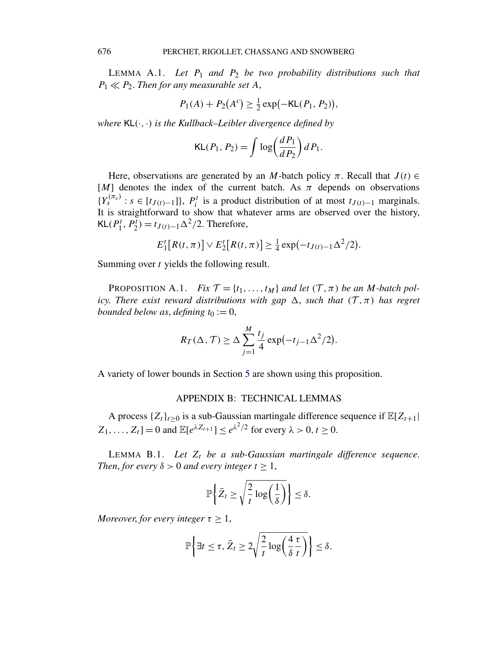LEMMA A.1. Let  $P_1$  and  $P_2$  be two probability distributions such that  $P_1 \ll P_2$ . *Then for any measurable set A*,

$$
P_1(A) + P_2(A^c) \ge \frac{1}{2} \exp(-KL(P_1, P_2)),
$$

*where* KL*(*·*,*·*) is the Kullback–Leibler divergence defined by*

$$
KL(P_1, P_2) = \int \log \left(\frac{dP_1}{dP_2}\right) dP_1.
$$

Here, observations are generated by an *M*-batch policy  $\pi$ . Recall that *J*(*t*) ∈ [*M*] denotes the index of the current batch. As  $\pi$  depends on observations  ${Y_s^{(\pi_s)} : s \in [t_{J(t)-1}]}$ ,  $P_i^t$  is a product distribution of at most  $t_{J(t)-1}$  marginals. It is straightforward to show that whatever arms are observed over the history,  $KL(P_1^t, P_2^t) = t_{J(t)-1} \Delta^2/2$ . Therefore,

$$
E_1^t[R(t,\pi)] \vee E_2^t[R(t,\pi)] \geq \frac{1}{4} \exp(-t_{J(t)-1}\Delta^2/2).
$$

Summing over *t* yields the following result.

PROPOSITION A.1. *Fix*  $\mathcal{T} = \{t_1, \ldots, t_M\}$  *and let*  $(\mathcal{T}, \pi)$  *be an M-batch policy. There exist reward distributions with gap*  $\Delta$ , *such that*  $(\mathcal{T}, \pi)$  *has regret bounded below as, defining*  $t_0 := 0$ ,

$$
R_T(\Delta, \mathcal{T}) \ge \Delta \sum_{j=1}^M \frac{t_j}{4} \exp(-t_{j-1} \Delta^2/2).
$$

A variety of lower bounds in Section 5 are shown using this proposition.

#### APPENDIX B: TECHNICAL LEMMAS

A process  $\{Z_t\}_{t>0}$  is a sub-Gaussian martingale difference sequence if  $\mathbb{E}[Z_{t+1}]$  $Z_1, \ldots, Z_t$ ] = 0 and  $\mathbb{E}[e^{\lambda Z_{t+1}}] \le e^{\lambda^2/2}$  for every  $\lambda > 0, t \ge 0$ .

LEMMA B.1. *Let Zt be a sub-Gaussian martingale difference sequence*. *Then, for every*  $\delta > 0$  *and every integer*  $t \geq 1$ *,* 

$$
\mathbb{P}\bigg\{\bar{Z}_t \ge \sqrt{\frac{2}{t}\log\bigg(\frac{1}{\delta}\bigg)}\bigg\} \le \delta.
$$

*Moreover, for every integer*  $\tau \geq 1$ *,* 

$$
\mathbb{P}\bigg\{\exists t\leq\tau,\bar{Z}_t\geq 2\sqrt{\frac{2}{t}\log\bigg(\frac{4}{\delta}\frac{\tau}{t}\bigg)}\bigg\}\leq\delta.
$$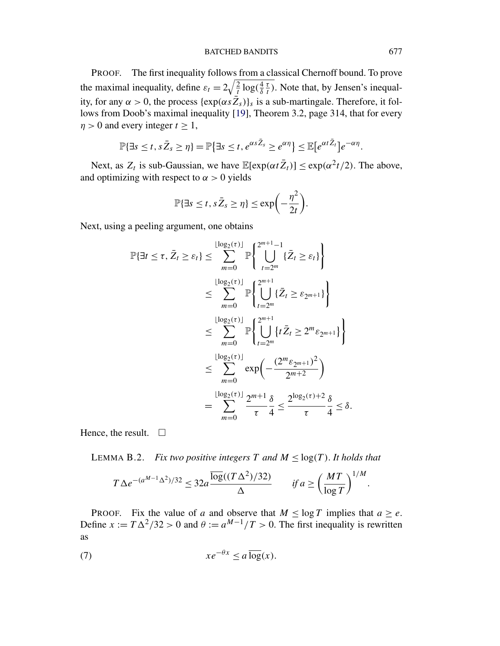PROOF. The first inequality follows from a classical Chernoff bound. To prove the maximal inequality, define  $\varepsilon_t = 2\sqrt{\frac{2}{t} \log(\frac{4}{\delta})}$  $\frac{\tau}{t}$ ). Note that, by Jensen's inequality, for any  $\alpha > 0$ , the process  $\{\exp(\alpha s \bar{Z}_s)\}_s$  is a sub-martingale. Therefore, it follows from Doob's maximal inequality [19], Theorem 3.2, page 314, that for every  $\eta > 0$  and every integer  $t \geq 1$ ,

$$
\mathbb{P}\{\exists s \leq t, s\bar{Z}_s \geq \eta\} = \mathbb{P}\{\exists s \leq t, e^{\alpha s\bar{Z}_s} \geq e^{\alpha \eta}\} \leq \mathbb{E}[e^{\alpha t\bar{Z}_t}]e^{-\alpha \eta}.
$$

Next, as  $Z_t$  is sub-Gaussian, we have  $\mathbb{E}[\exp(\alpha t \bar{Z}_t)] \leq \exp(\alpha^2 t/2)$ . The above, and optimizing with respect to  $\alpha > 0$  yields

$$
\mathbb{P}\{\exists s \leq t, s\bar{Z}_s \geq \eta\} \leq \exp\biggl(-\frac{\eta^2}{2t}\biggr).
$$

Next, using a peeling argument, one obtains

$$
\mathbb{P}\{\exists t \leq \tau, \bar{Z}_t \geq \varepsilon_t\} \leq \sum_{m=0}^{\lfloor \log_2(\tau) \rfloor} \mathbb{P}\left\{\bigcup_{t=2^m}^{2^{m+1}-1} \{\bar{Z}_t \geq \varepsilon_t\}\right\}
$$

$$
\leq \sum_{m=0}^{\lfloor \log_2(\tau) \rfloor} \mathbb{P}\left\{\bigcup_{t=2^m}^{2^{m+1}} \{\bar{Z}_t \geq \varepsilon_{2^{m+1}}\}\right\}
$$

$$
\leq \sum_{m=0}^{\lfloor \log_2(\tau) \rfloor} \mathbb{P}\left\{\bigcup_{t=2^m}^{2^{m+1}} \{\tau \bar{Z}_t \geq 2^m \varepsilon_{2^{m+1}}\}\right\}
$$

$$
\leq \sum_{m=0}^{\lfloor \log_2(\tau) \rfloor} \exp\left(-\frac{(2^m \varepsilon_{2^{m+1}})^2}{2^{m+2}}\right)
$$

$$
= \sum_{m=0}^{\lfloor \log_2(\tau) \rfloor} \frac{2^{m+1} \delta}{\tau} \frac{\delta}{4} \leq \frac{2^{\log_2(\tau)+2} \delta}{\tau} \frac{\delta}{4} \leq \delta.
$$

Hence, the result.  $\Box$ 

LEMMA B.2. *Fix two positive integers*  $T$  *and*  $M \leq log(T)$ . It holds that

$$
T\Delta e^{-(a^{M-1}\Delta^2)/32} \le 32a \frac{\overline{\log}((T\Delta^2)/32)}{\Delta} \qquad \text{if } a \ge \left(\frac{MT}{\log T}\right)^{1/M}
$$

PROOF. Fix the value of *a* and observe that  $M \leq \log T$  implies that  $a \geq e$ . Define  $x := T\Delta^2/32 > 0$  and  $\theta := a^{M-1}/T > 0$ . The first inequality is rewritten as

(7) 
$$
xe^{-\theta x} \leq a \overline{\log}(x).
$$

*.*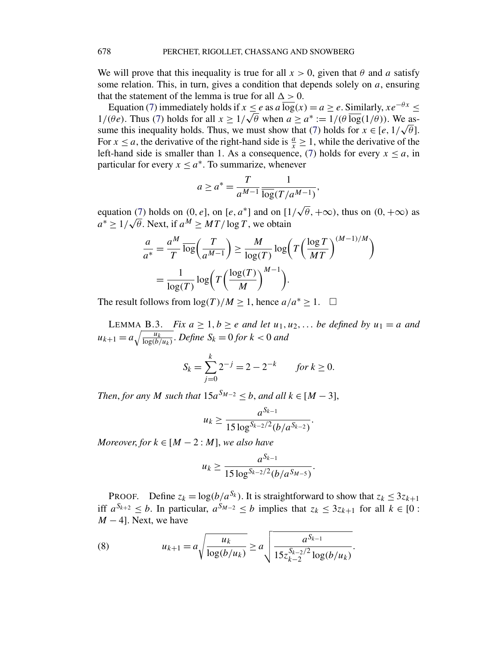We will prove that this inequality is true for all  $x > 0$ , given that  $\theta$  and a satisfy some relation. This, in turn, gives a condition that depends solely on *a*, ensuring that the statement of the lemma is true for all  $\Delta > 0$ .

Equation (7) immediately holds if *x*  $\leq e$  as  $a \overline{\log}(x) = a \geq e$ . Similarly,  $xe^{-\theta x} \leq$ 1/( $\theta$ *e*). Thus (7) holds for all  $x \ge 1/\sqrt{\theta}$  when  $a \ge a^* := 1/(\theta \log(1/\theta))$ . We assume this inequality holds. Thus, we must show that (7) holds for  $x \in [e, 1/\sqrt{\theta}]$ . For  $x \le a$ , the derivative of the right-hand side is  $\frac{a}{x} \ge 1$ , while the derivative of the left-hand side is smaller than 1. As a consequence, (7) holds for every  $x \le a$ , in particular for every  $x \leq a^*$ . To summarize, whenever

$$
a \ge a^* = \frac{T}{a^{M-1}} \frac{1}{\log(T/a^{M-1})},
$$

equation (7) holds on  $(0, e]$ , on  $[e, a^*]$  and on  $[1/\sqrt{\theta}, +\infty)$ , thus on  $(0, +\infty)$  as  $a^* \geq 1/\sqrt{\theta}$ . Next, if  $a^M \geq MT/\log T$ , we obtain

$$
\frac{a}{a^*} = \frac{a^M}{T} \overline{\log} \left( \frac{T}{a^{M-1}} \right) \ge \frac{M}{\log(T)} \log \left( T \left( \frac{\log T}{MT} \right)^{(M-1)/M} \right)
$$

$$
= \frac{1}{\log(T)} \log \left( T \left( \frac{\log(T)}{M} \right)^{M-1} \right).
$$

The result follows from  $\log(T)/M \ge 1$ , hence  $a/a^* \ge 1$ .  $\Box$ 

LEMMA  $B.3.$  *Fix*  $a \ge 1, b \ge e$  *and let*  $u_1, u_2, \ldots$  *be defined by*  $u_1 = a$  *and*  $u_{k+1} = a \sqrt{\frac{u_k}{\log(b/u_k)}}$ . *Define*  $S_k = 0$  *for*  $k < 0$  *and* 

$$
S_k = \sum_{j=0}^k 2^{-j} = 2 - 2^{-k} \quad \text{for } k \ge 0.
$$

*Then, for any M such that*  $15a^{S_{M-2}} \leq b$ *, and all*  $k \in [M-3]$ *,* 

$$
u_k \ge \frac{a^{S_{k-1}}}{15 \log^{S_{k-2}/2}(b/a^{S_{k-2}})}.
$$

*Moreover, for*  $k \in [M - 2 : M]$ *, we also have* 

$$
u_k \geq \frac{a^{S_{k-1}}}{15 \log^{S_{k-2}/2}(b/a^{S_{M-5}})}.
$$

PROOF. Define  $z_k = \log(b/a^{S_k})$ . It is straightforward to show that  $z_k \leq 3z_{k+1}$ iff  $a^{S_{k+2}} \leq b$ . In particular,  $a^{S_{M-2}} \leq b$  implies that  $z_k \leq 3z_{k+1}$  for all  $k \in [0:$  $M - 4$ . Next, we have

(8) 
$$
u_{k+1} = a \sqrt{\frac{u_k}{\log(b/u_k)}} \ge a \sqrt{\frac{a^{S_{k-1}}}{15z_{k-2}^{S_{k-2}/2}\log(b/u_k)}}.
$$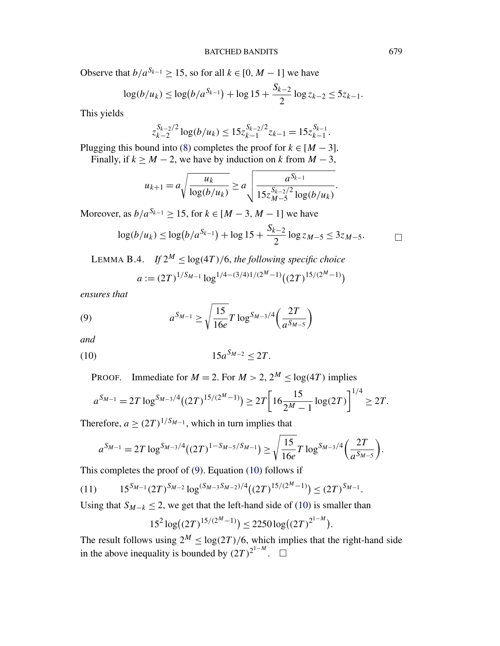Observe that  $b/a^{S_{k-1}} \ge 15$ , so for all  $k \in [0, M-1]$  we have

$$
\log(b/u_k) \leq \log(b/a^{S_{k-1}}) + \log 15 + \frac{S_{k-2}}{2} \log z_{k-2} \leq 5z_{k-1}.
$$

This yields

$$
z_{k-2}^{S_{k-2}/2} \log(b/u_k) \le 15z_{k-1}^{S_{k-2}/2} z_{k-1} = 15z_{k-1}^{S_{k-1}}.
$$

Plugging this bound into (8) completes the proof for  $k \in [M-3]$ .

Finally, if  $k \geq M - 2$ , we have by induction on *k* from  $M - 3$ ,

$$
u_{k+1} = a \sqrt{\frac{u_k}{\log(b/u_k)}} \ge a \sqrt{\frac{a^{S_{k-1}}}{15z_{M-5}^{S_{k-2}/2} \log(b/u_k)}}
$$

Moreover, as  $b/a^{S_{k-1}}$  ≥ 15, for  $k \in [M-3, M-1]$  we have

$$
\log(b/u_k) \le \log(b/a^{S_{k-1}}) + \log 15 + \frac{S_{k-2}}{2} \log z_{M-5} \le 3z_{M-5}.
$$

*.*

LEMMA B.4. *If*  $2^M \leq \log(4T)/6$ , *the following specific choice* 

$$
a := (2T)^{1/S_{M-1}} \log^{1/4 - (3/4)1/(2^M - 1)} ((2T)^{15/(2^M - 1)})
$$

*ensures that*

(9) 
$$
a^{S_{M-1}} \ge \sqrt{\frac{15}{16e}} T \log^{S_{M-3}/4} \left(\frac{2T}{a^{S_{M-5}}}\right)
$$

*and*

(10) 
$$
15a^{S_{M-2}} \leq 2T.
$$

PROOF. Immediate for  $M = 2$ . For  $M > 2$ ,  $2^M \le \log(4T)$  implies

$$
a^{S_{M-1}} = 2T \log^{S_{M-3}/4}((2T)^{15/(2^M-1)}) \ge 2T \left[16 \frac{15}{2^M-1} \log(2T)\right]^{1/4} \ge 2T.
$$

Therefore,  $a \ge (2T)^{1/S_{M-1}}$ , which in turn implies that

$$
a^{S_{M-1}} = 2T \log^{S_{M-3}/4}((2T)^{1-S_{M-5}/S_{M-1}}) \ge \sqrt{\frac{15}{16e}} T \log^{S_{M-3}/4} \left(\frac{2T}{a^{S_{M-5}}}\right).
$$

This completes the proof of (9). Equation (10) follows if

$$
(11) \t15^{S_{M-1}}(2T)^{S_{M-2}}\log^{(S_{M-3}S_{M-2})/4}((2T)^{15/(2^M-1)}) \leq (2T)^{S_{M-1}}.
$$

Using that  $S_{M-k} \leq 2$ , we get that the left-hand side of (10) is smaller than

$$
15^{2} \log((2T)^{15/(2^M-1)}) \le 2250 \log((2T)^{2^{1-M}}).
$$

The result follows using  $2^M \le \log(2T)/6$ , which implies that the right-hand side in the above inequality is bounded by  $(2T)^{2^{1-M}}$ .  $\Box$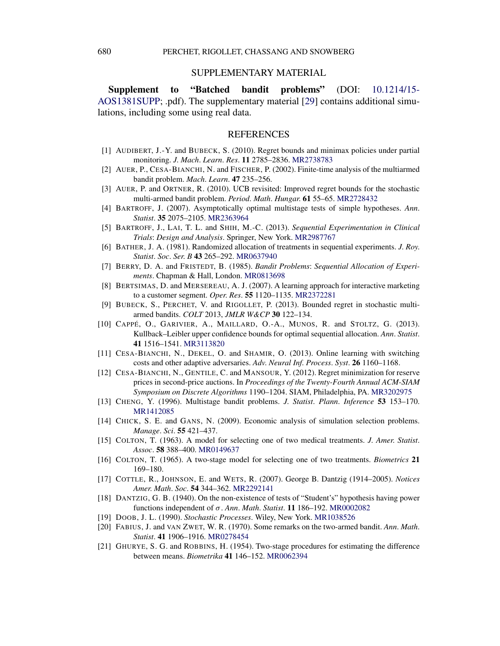## SUPPLEMENTARY MATERIAL

**Supplement to "Batched bandit problems"** (DOI: 10.1214/15- AOS1381SUPP; .pdf). The supplementary material [29] contains additional simulations, including some using real data.

## REFERENCES

- [1] AUDIBERT, J.-Y. and BUBECK, S. (2010). Regret bounds and minimax policies under partial monitoring. *J*. *Mach*. *Learn*. *Res*. **11** 2785–2836. MR2738783
- [2] AUER, P., CESA-BIANCHI, N. and FISCHER, P. (2002). Finite-time analysis of the multiarmed bandit problem. *Mach*. *Learn*. **47** 235–256.
- [3] AUER, P. and ORTNER, R. (2010). UCB revisited: Improved regret bounds for the stochastic multi-armed bandit problem. *Period*. *Math*. *Hungar*. **61** 55–65. MR2728432
- [4] BARTROFF, J. (2007). Asymptotically optimal multistage tests of simple hypotheses. *Ann*. *Statist*. **35** 2075–2105. MR2363964
- [5] BARTROFF, J., LAI, T. L. and SHIH, M.-C. (2013). *Sequential Experimentation in Clinical Trials*: *Design and Analysis*. Springer, New York. MR2987767
- [6] BATHER, J. A. (1981). Randomized allocation of treatments in sequential experiments. *J*. *Roy*. *Statist*. *Soc*. *Ser*. *B* **43** 265–292. MR0637940
- [7] BERRY, D. A. and FRISTEDT, B. (1985). *Bandit Problems*: *Sequential Allocation of Experiments*. Chapman & Hall, London. MR0813698
- [8] BERTSIMAS, D. and MERSEREAU, A. J. (2007). A learning approach for interactive marketing to a customer segment. *Oper*. *Res*. **55** 1120–1135. MR2372281
- [9] BUBECK, S., PERCHET, V. and RIGOLLET, P. (2013). Bounded regret in stochastic multiarmed bandits. *COLT* 2013, *JMLR W&CP* **30** 122–134.
- [10] CAPPÉ, O., GARIVIER, A., MAILLARD, O.-A., MUNOS, R. and STOLTZ, G. (2013). Kullback–Leibler upper confidence bounds for optimal sequential allocation. *Ann*. *Statist*. **41** 1516–1541. MR3113820
- [11] CESA-BIANCHI, N., DEKEL, O. and SHAMIR, O. (2013). Online learning with switching costs and other adaptive adversaries. *Adv*. *Neural Inf*. *Process*. *Syst*. **26** 1160–1168.
- [12] CESA-BIANCHI, N., GENTILE, C. and MANSOUR, Y. (2012). Regret minimization for reserve prices in second-price auctions. In *Proceedings of the Twenty-Fourth Annual ACM-SIAM Symposium on Discrete Algorithms* 1190–1204. SIAM, Philadelphia, PA. MR3202975
- [13] CHENG, Y. (1996). Multistage bandit problems. *J*. *Statist*. *Plann*. *Inference* **53** 153–170. MR1412085
- [14] CHICK, S. E. and GANS, N. (2009). Economic analysis of simulation selection problems. *Manage*. *Sci*. **55** 421–437.
- [15] COLTON, T. (1963). A model for selecting one of two medical treatments. *J*. *Amer*. *Statist*. *Assoc*. **58** 388–400. MR0149637
- [16] COLTON, T. (1965). A two-stage model for selecting one of two treatments. *Biometrics* **21** 169–180.
- [17] COTTLE, R., JOHNSON, E. and WETS, R. (2007). George B. Dantzig (1914–2005). *Notices Amer*. *Math*. *Soc*. **54** 344–362. MR2292141
- [18] DANTZIG, G. B. (1940). On the non-existence of tests of "Student's" hypothesis having power functions independent of σ . *Ann*. *Math*. *Statist*. **11** 186–192. MR0002082
- [19] DOOB, J. L. (1990). *Stochastic Processes*. Wiley, New York. MR1038526
- [20] FABIUS, J. and VAN ZWET, W. R. (1970). Some remarks on the two-armed bandit. *Ann*. *Math*. *Statist*. **41** 1906–1916. MR0278454
- [21] GHURYE, S. G. and ROBBINS, H. (1954). Two-stage procedures for estimating the difference between means. *Biometrika* **41** 146–152. MR0062394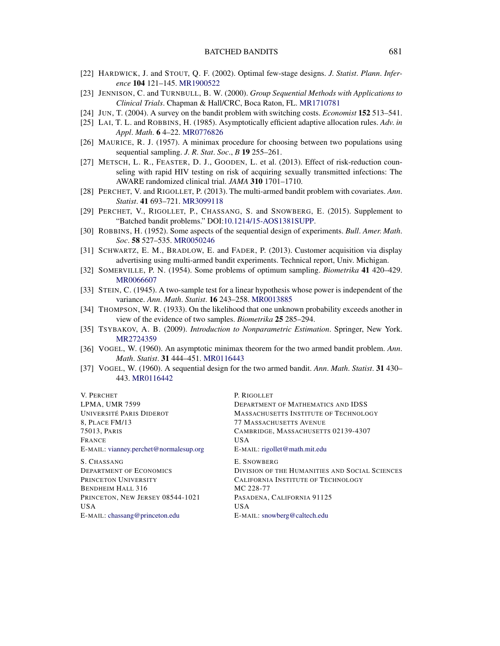- [22] HARDWICK, J. and STOUT, Q. F. (2002). Optimal few-stage designs. *J*. *Statist*. *Plann*. *Inference* **104** 121–145. MR1900522
- [23] JENNISON, C. and TURNBULL, B. W. (2000). *Group Sequential Methods with Applications to Clinical Trials*. Chapman & Hall/CRC, Boca Raton, FL. MR1710781
- [24] JUN, T. (2004). A survey on the bandit problem with switching costs. *Economist* **152** 513–541.
- [25] LAI, T. L. and ROBBINS, H. (1985). Asymptotically efficient adaptive allocation rules. *Adv*. *in Appl*. *Math*. **6** 4–22. MR0776826
- [26] MAURICE, R. J. (1957). A minimax procedure for choosing between two populations using sequential sampling. *J*. *R*. *Stat*. *Soc*., *B* **19** 255–261.
- [27] METSCH, L. R., FEASTER, D. J., GOODEN, L. et al. (2013). Effect of risk-reduction counseling with rapid HIV testing on risk of acquiring sexually transmitted infections: The AWARE randomized clinical trial. *JAMA* **310** 1701–1710.
- [28] PERCHET, V. and RIGOLLET, P. (2013). The multi-armed bandit problem with covariates. *Ann*. *Statist*. **41** 693–721. MR3099118
- [29] PERCHET, V., RIGOLLET, P., CHASSANG, S. and SNOWBERG, E. (2015). Supplement to "Batched bandit problems." DOI:10.1214/15-AOS1381SUPP.
- [30] ROBBINS, H. (1952). Some aspects of the sequential design of experiments. *Bull*. *Amer*. *Math*. *Soc*. **58** 527–535. MR0050246
- [31] SCHWARTZ, E. M., BRADLOW, E. and FADER, P. (2013). Customer acquisition via display advertising using multi-armed bandit experiments. Technical report, Univ. Michigan.
- [32] SOMERVILLE, P. N. (1954). Some problems of optimum sampling. *Biometrika* **41** 420–429. MR0066607
- [33] STEIN, C. (1945). A two-sample test for a linear hypothesis whose power is independent of the variance. *Ann*. *Math*. *Statist*. **16** 243–258. MR0013885
- [34] THOMPSON, W. R. (1933). On the likelihood that one unknown probability exceeds another in view of the evidence of two samples. *Biometrika* **25** 285–294.
- [35] TSYBAKOV, A. B. (2009). *Introduction to Nonparametric Estimation*. Springer, New York. MR2724359
- [36] VOGEL, W. (1960). An asymptotic minimax theorem for the two armed bandit problem. *Ann*. *Math*. *Statist*. **31** 444–451. MR0116443
- [37] VOGEL, W. (1960). A sequential design for the two armed bandit. *Ann*. *Math*. *Statist*. **31** 430– 443. MR0116442

V. PERCHET LPMA, UMR 7599 UNIVERSITÉ PARIS DIDEROT 8, PLACE FM/13 75013, PARIS FRANCE E-MAIL: vianney.perchet@normalesup.org P. RIGOLLET DEPARTMENT OF MATHEMATICS AND IDSS MASSACHUSETTS INSTITUTE OF TECHNOLOGY 77 MASSACHUSETTS AVENUE CAMBRIDGE, MASSACHUSETTS 02139-4307 USA E-MAIL: rigollet@math.mit.edu S. CHASSANG DEPARTMENT OF ECONOMICS PRINCETON UNIVERSITY BENDHEIM HALL 316 PRINCETON, NEW JERSEY 08544-1021 USA E. SNOWBERG DIVISION OF THE HUMANITIES AND SOCIAL SCIENCES CALIFORNIA INSTITUTE OF TECHNOLOGY MC 228-77 PASADENA, CALIFORNIA 91125 USA

E-MAIL: chassang@princeton.edu

E-MAIL: snowberg@caltech.edu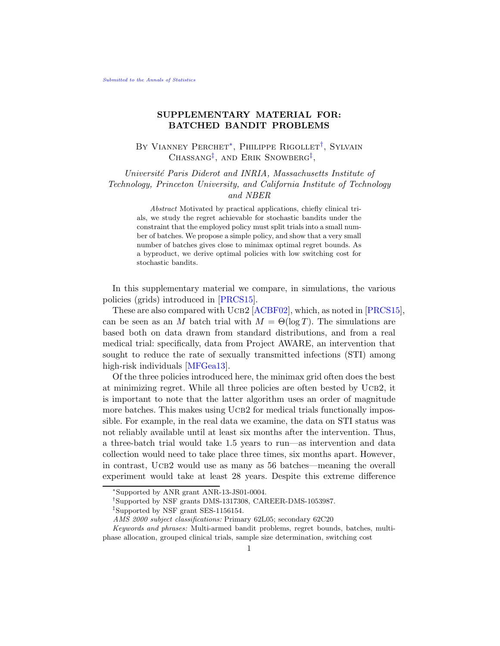## SUPPLEMENTARY MATERIAL FOR: BATCHED BANDIT PROBLEMS

BY VIANNEY PERCHET<sup>\*</sup>, PHILIPPE RIGOLLET<sup>†</sup>, SYLVAIN CHASSANG<sup> $\ddagger$ </sup>, AND ERIK SNOWBERG<sup> $\dagger$ </sup>,

Université Paris Diderot and INRIA, Massachusetts Institute of Technology, Princeton University, and California Institute of Technology and NBER

> Abstract Motivated by practical applications, chiefly clinical trials, we study the regret achievable for stochastic bandits under the constraint that the employed policy must split trials into a small number of batches. We propose a simple policy, and show that a very small number of batches gives close to minimax optimal regret bounds. As a byproduct, we derive optimal policies with low switching cost for stochastic bandits.

In this supplementary material we compare, in simulations, the various policies (grids) introduced in [PRCS15].

These are also compared with UCB2 [ACBF02], which, as noted in [PRCS15], can be seen as an M batch trial with  $M = \Theta(\log T)$ . The simulations are based both on data drawn from standard distributions, and from a real medical trial: specifically, data from Project AWARE, an intervention that sought to reduce the rate of sexually transmitted infections (STI) among high-risk individuals [MFGea13].

Of the three policies introduced here, the minimax grid often does the best at minimizing regret. While all three policies are often bested by Ucb2, it is important to note that the latter algorithm uses an order of magnitude more batches. This makes using UCB2 for medical trials functionally impossible. For example, in the real data we examine, the data on STI status was not reliably available until at least six months after the intervention. Thus, a three-batch trial would take 1.5 years to run—as intervention and data collection would need to take place three times, six months apart. However, in contrast, UCB2 would use as many as 56 batches—meaning the overall experiment would take at least 28 years. Despite this extreme difference

‡Supported by NSF grant SES-1156154.

<sup>∗</sup>Supported by ANR grant ANR-13-JS01-0004.

<sup>†</sup>Supported by NSF grants DMS-1317308, CAREER-DMS-1053987.

AMS 2000 subject classifications: Primary 62L05; secondary 62C20

Keywords and phrases: Multi-armed bandit problems, regret bounds, batches, multiphase allocation, grouped clinical trials, sample size determination, switching cost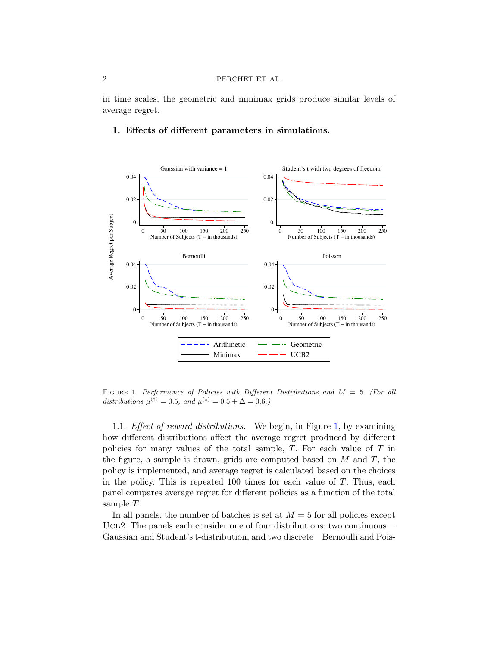in time scales, the geometric and minimax grids produce similar levels of average regret.



## 1. Effects of different parameters in simulations.

FIGURE 1. Performance of Policies with Different Distributions and  $M = 5$ . (For all distributions  $\mu^{(\dagger)} = 0.5$ , and  $\mu^{(\star)} = 0.5 + \Delta = 0.6$ .

1.1. Effect of reward distributions. We begin, in Figure 1, by examining how different distributions affect the average regret produced by different policies for many values of the total sample, T. For each value of T in the figure, a sample is drawn, grids are computed based on  $M$  and  $T$ , the policy is implemented, and average regret is calculated based on the choices in the policy. This is repeated 100 times for each value of  $T$ . Thus, each panel compares average regret for different policies as a function of the total sample T.

In all panels, the number of batches is set at  $M = 5$  for all policies except UCB2. The panels each consider one of four distributions: two continuous— Gaussian and Student's t-distribution, and two discrete—Bernoulli and Pois-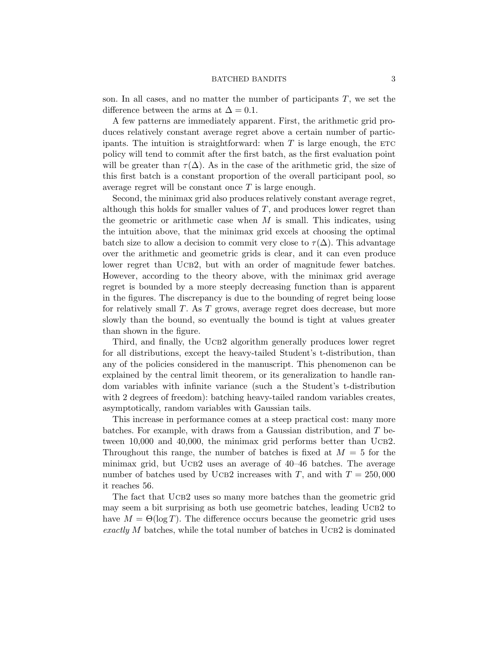#### BATCHED BANDITS 3

son. In all cases, and no matter the number of participants  $T$ , we set the difference between the arms at  $\Delta = 0.1$ .

A few patterns are immediately apparent. First, the arithmetic grid produces relatively constant average regret above a certain number of participants. The intuition is straightforward: when  $T$  is large enough, the ETC policy will tend to commit after the first batch, as the first evaluation point will be greater than  $\tau(\Delta)$ . As in the case of the arithmetic grid, the size of this first batch is a constant proportion of the overall participant pool, so average regret will be constant once  $T$  is large enough.

Second, the minimax grid also produces relatively constant average regret, although this holds for smaller values of  $T$ , and produces lower regret than the geometric or arithmetic case when  $M$  is small. This indicates, using the intuition above, that the minimax grid excels at choosing the optimal batch size to allow a decision to commit very close to  $\tau(\Delta)$ . This advantage over the arithmetic and geometric grids is clear, and it can even produce lower regret than UCB2, but with an order of magnitude fewer batches. However, according to the theory above, with the minimax grid average regret is bounded by a more steeply decreasing function than is apparent in the figures. The discrepancy is due to the bounding of regret being loose for relatively small  $T$ . As  $T$  grows, average regret does decrease, but more slowly than the bound, so eventually the bound is tight at values greater than shown in the figure.

Third, and finally, the UCB2 algorithm generally produces lower regret for all distributions, except the heavy-tailed Student's t-distribution, than any of the policies considered in the manuscript. This phenomenon can be explained by the central limit theorem, or its generalization to handle random variables with infinite variance (such a the Student's t-distribution with 2 degrees of freedom): batching heavy-tailed random variables creates, asymptotically, random variables with Gaussian tails.

This increase in performance comes at a steep practical cost: many more batches. For example, with draws from a Gaussian distribution, and T between  $10,000$  and  $40,000$ , the minimax grid performs better than UCB2. Throughout this range, the number of batches is fixed at  $M = 5$  for the minimax grid, but  $UCB2$  uses an average of 40–46 batches. The average number of batches used by UCB2 increases with T, and with  $T = 250,000$ it reaches 56.

The fact that UCB2 uses so many more batches than the geometric grid may seem a bit surprising as both use geometric batches, leading UCB2 to have  $M = \Theta(\log T)$ . The difference occurs because the geometric grid uses exactly  $M$  batches, while the total number of batches in UCB2 is dominated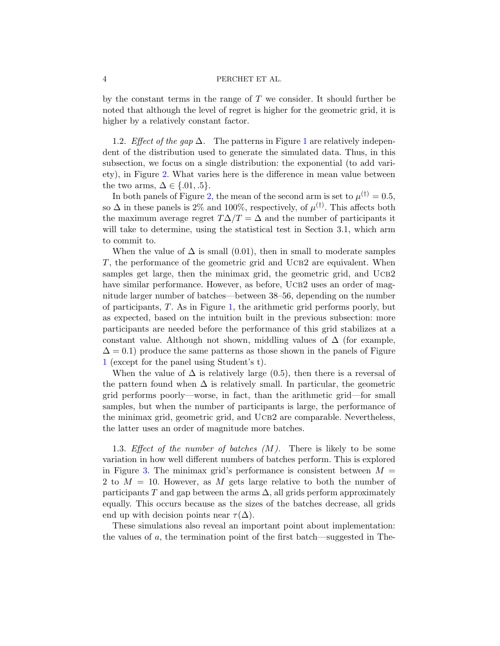#### 4 PERCHET ET AL.

by the constant terms in the range of T we consider. It should further be noted that although the level of regret is higher for the geometric grid, it is higher by a relatively constant factor.

1.2. Effect of the gap  $\Delta$ . The patterns in Figure 1 are relatively independent of the distribution used to generate the simulated data. Thus, in this subsection, we focus on a single distribution: the exponential (to add variety), in Figure 2. What varies here is the difference in mean value between the two arms,  $\Delta \in \{.01, .5\}.$ 

In both panels of Figure 2, the mean of the second arm is set to  $\mu^{(\dagger)} = 0.5$ , so  $\Delta$  in these panels is 2% and 100%, respectively, of  $\mu^{(\dagger)}$ . This affects both the maximum average regret  $T\Delta/T = \Delta$  and the number of participants it will take to determine, using the statistical test in Section 3.1, which arm to commit to.

When the value of  $\Delta$  is small (0.01), then in small to moderate samples  $T$ , the performance of the geometric grid and UCB2 are equivalent. When samples get large, then the minimax grid, the geometric grid, and UCB2 have similar performance. However, as before, UCB2 uses an order of magnitude larger number of batches—between 38–56, depending on the number of participants, T. As in Figure 1, the arithmetic grid performs poorly, but as expected, based on the intuition built in the previous subsection: more participants are needed before the performance of this grid stabilizes at a constant value. Although not shown, middling values of  $\Delta$  (for example,  $\Delta = 0.1$ ) produce the same patterns as those shown in the panels of Figure 1 (except for the panel using Student's t).

When the value of  $\Delta$  is relatively large (0.5), then there is a reversal of the pattern found when  $\Delta$  is relatively small. In particular, the geometric grid performs poorly—worse, in fact, than the arithmetic grid—for small samples, but when the number of participants is large, the performance of the minimax grid, geometric grid, and UCB2 are comparable. Nevertheless, the latter uses an order of magnitude more batches.

1.3. Effect of the number of batches  $(M)$ . There is likely to be some variation in how well different numbers of batches perform. This is explored in Figure 3. The minimax grid's performance is consistent between  $M =$ 2 to  $M = 10$ . However, as M gets large relative to both the number of participants T and gap between the arms  $\Delta$ , all grids perform approximately equally. This occurs because as the sizes of the batches decrease, all grids end up with decision points near  $\tau(\Delta)$ .

These simulations also reveal an important point about implementation: the values of  $a$ , the termination point of the first batch—suggested in The-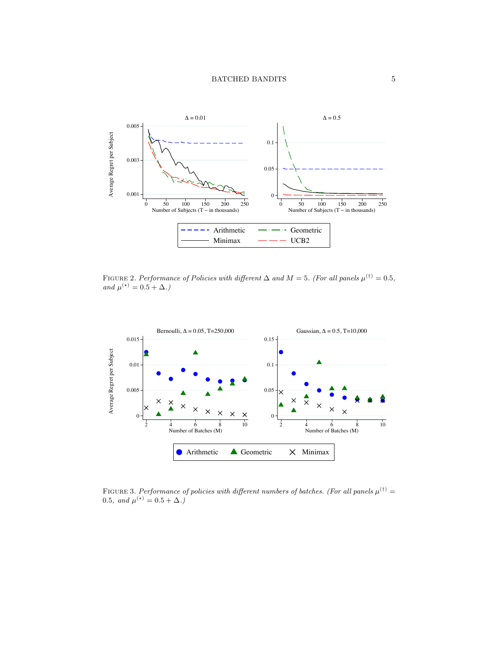

FIGURE 2. Performance of Policies with different  $\Delta$  and  $M = 5$ . (For all panels  $\mu^{(\dagger)} = 0.5$ , and  $\mu^{(\star)} = 0.5 + \Delta$ .)



FIGURE 3. Performance of policies with different numbers of batches. (For all panels  $\mu^{(\dagger)} =$ 0.5, and  $\mu^{(\star)} = 0.5 + \Delta$ .)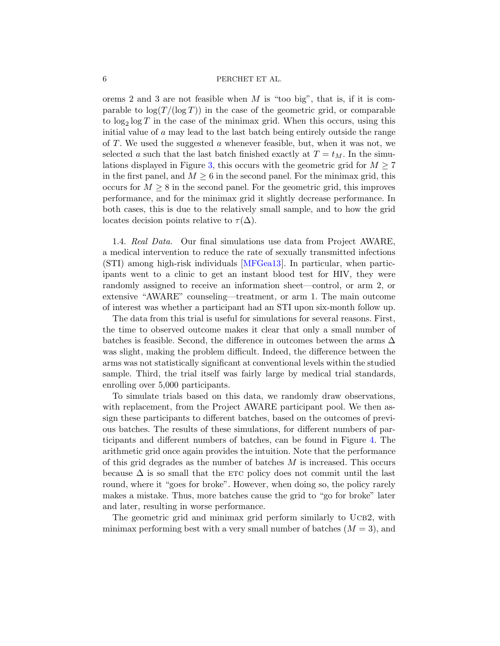orems 2 and 3 are not feasible when  $M$  is "too big", that is, if it is comparable to  $\log(T/(\log T))$  in the case of the geometric grid, or comparable to  $\log_2 \log T$  in the case of the minimax grid. When this occurs, using this initial value of a may lead to the last batch being entirely outside the range of T. We used the suggested a whenever feasible, but, when it was not, we selected a such that the last batch finished exactly at  $T = t_M$ . In the simulations displayed in Figure 3, this occurs with the geometric grid for  $M \geq 7$ in the first panel, and  $M \geq 6$  in the second panel. For the minimax grid, this occurs for  $M \geq 8$  in the second panel. For the geometric grid, this improves performance, and for the minimax grid it slightly decrease performance. In both cases, this is due to the relatively small sample, and to how the grid locates decision points relative to  $\tau(\Delta)$ .

1.4. Real Data. Our final simulations use data from Project AWARE, a medical intervention to reduce the rate of sexually transmitted infections (STI) among high-risk individuals [MFGea13]. In particular, when participants went to a clinic to get an instant blood test for HIV, they were randomly assigned to receive an information sheet—control, or arm 2, or extensive "AWARE" counseling—treatment, or arm 1. The main outcome of interest was whether a participant had an STI upon six-month follow up.

The data from this trial is useful for simulations for several reasons. First, the time to observed outcome makes it clear that only a small number of batches is feasible. Second, the difference in outcomes between the arms  $\Delta$ was slight, making the problem difficult. Indeed, the difference between the arms was not statistically significant at conventional levels within the studied sample. Third, the trial itself was fairly large by medical trial standards, enrolling over 5,000 participants.

To simulate trials based on this data, we randomly draw observations, with replacement, from the Project AWARE participant pool. We then assign these participants to different batches, based on the outcomes of previous batches. The results of these simulations, for different numbers of participants and different numbers of batches, can be found in Figure 4. The arithmetic grid once again provides the intuition. Note that the performance of this grid degrades as the number of batches M is increased. This occurs because  $\Delta$  is so small that the ETC policy does not commit until the last round, where it "goes for broke". However, when doing so, the policy rarely makes a mistake. Thus, more batches cause the grid to "go for broke" later and later, resulting in worse performance.

The geometric grid and minimax grid perform similarly to UCB2, with minimax performing best with a very small number of batches  $(M = 3)$ , and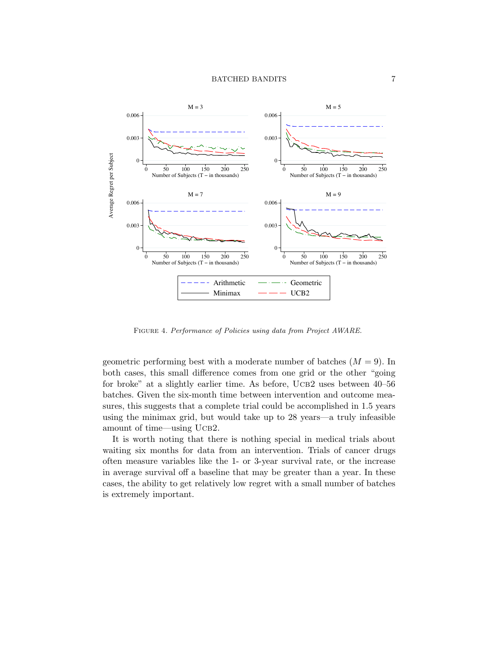

Figure 4. Performance of Policies using data from Project AWARE.

geometric performing best with a moderate number of batches  $(M = 9)$ . In both cases, this small difference comes from one grid or the other "going for broke" at a slightly earlier time. As before,  $UCB2$  uses between  $40-56$ batches. Given the six-month time between intervention and outcome measures, this suggests that a complete trial could be accomplished in 1.5 years using the minimax grid, but would take up to 28 years—a truly infeasible amount of time—using UCB2.

It is worth noting that there is nothing special in medical trials about waiting six months for data from an intervention. Trials of cancer drugs often measure variables like the 1- or 3-year survival rate, or the increase in average survival off a baseline that may be greater than a year. In these cases, the ability to get relatively low regret with a small number of batches is extremely important.